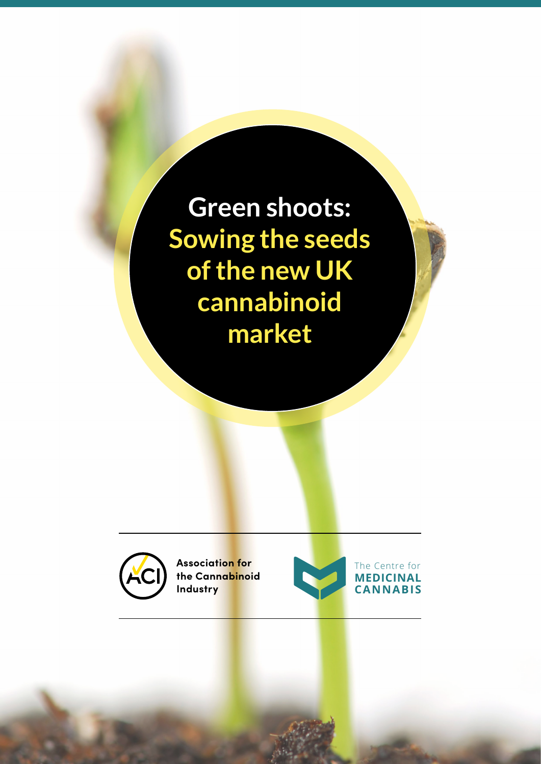**Green shoots: Sowing the seeds of the new UK cannabinoid market**



**Association for the Cannabinoid Industry**

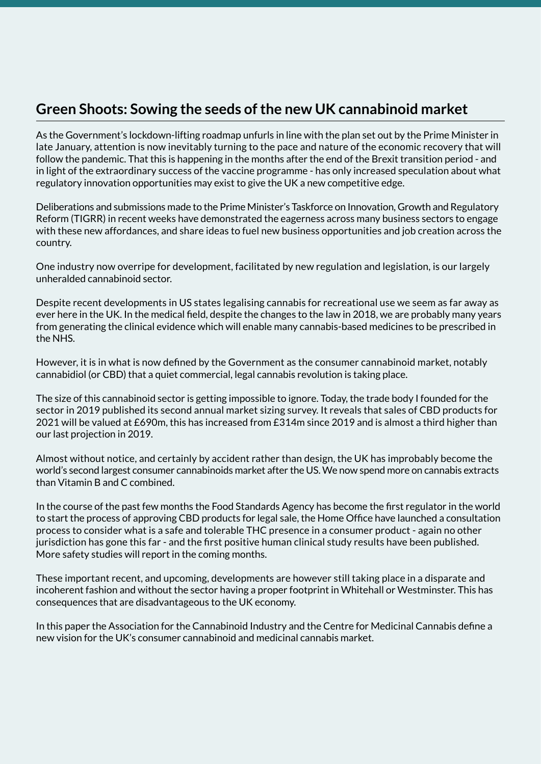## **Green Shoots: Sowing the seeds of the new UK cannabinoid market**

As the Government's lockdown-lifting roadmap unfurls in line with the plan set out by the Prime Minister in late January, attention is now inevitably turning to the pace and nature of the economic recovery that will follow the pandemic. That this is happening in the months after the end of the Brexit transition period - and in light of the extraordinary success of the vaccine programme - has only increased speculation about what regulatory innovation opportunities may exist to give the UK a new competitive edge.

Deliberations and submissions made to the Prime Minister's Taskforce on Innovation, Growth and Regulatory Reform (TIGRR) in recent weeks have demonstrated the eagerness across many business sectors to engage with these new affordances, and share ideas to fuel new business opportunities and job creation across the country.

One industry now overripe for development, facilitated by new regulation and legislation, is our largely unheralded cannabinoid sector.

Despite recent developments in US states legalising cannabis for recreational use we seem as far away as ever here in the UK. In the medical field, despite the changes to the law in 2018, we are probably many years from generating the clinical evidence which will enable many cannabis-based medicines to be prescribed in the NHS.

However, it is in what is now defined by the Government as the consumer cannabinoid market, notably cannabidiol (or CBD) that a quiet commercial, legal cannabis revolution is taking place.

The size of this cannabinoid sector is getting impossible to ignore. Today, the trade body I founded for the sector in 2019 published its second annual market sizing survey. It reveals that sales of CBD products for 2021 will be valued at £690m, this has increased from £314m since 2019 and is almost a third higher than our last projection in 2019.

Almost without notice, and certainly by accident rather than design, the UK has improbably become the world's second largest consumer cannabinoids market after the US. We now spend more on cannabis extracts than Vitamin B and C combined.

In the course of the past few months the Food Standards Agency has become the first regulator in the world to start the process of approving CBD products for legal sale, the Home Office have launched a consultation process to consider what is a safe and tolerable THC presence in a consumer product - again no other jurisdiction has gone this far - and the first positive human clinical study results have been published. More safety studies will report in the coming months.

These important recent, and upcoming, developments are however still taking place in a disparate and incoherent fashion and without the sector having a proper footprint in Whitehall or Westminster. This has consequences that are disadvantageous to the UK economy.

In this paper the Association for the Cannabinoid Industry and the Centre for Medicinal Cannabis define a new vision for the UK's consumer cannabinoid and medicinal cannabis market.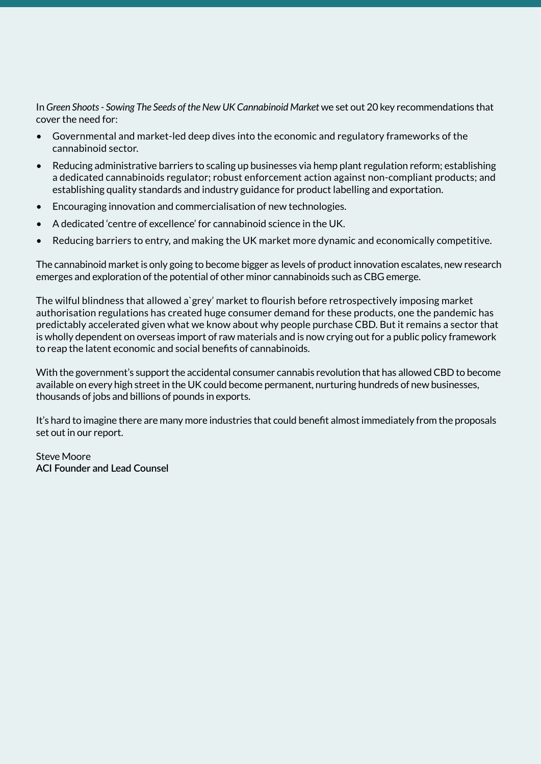In *Green Shoots - Sowing The Seeds of the New UK Cannabinoid Market* we set out 20 key recommendations that cover the need for:

- Governmental and market-led deep dives into the economic and regulatory frameworks of the cannabinoid sector.
- Reducing administrative barriers to scaling up businesses via hemp plant regulation reform; establishing a dedicated cannabinoids regulator; robust enforcement action against non-compliant products; and establishing quality standards and industry guidance for product labelling and exportation.
- Encouraging innovation and commercialisation of new technologies.
- A dedicated 'centre of excellence' for cannabinoid science in the UK.
- Reducing barriers to entry, and making the UK market more dynamic and economically competitive.

The cannabinoid market is only going to become bigger as levels of product innovation escalates, new research emerges and exploration of the potential of other minor cannabinoids such as CBG emerge.

The wilful blindness that allowed a`grey' market to flourish before retrospectively imposing market authorisation regulations has created huge consumer demand for these products, one the pandemic has predictably accelerated given what we know about why people purchase CBD. But it remains a sector that is wholly dependent on overseas import of raw materials and is now crying out for a public policy framework to reap the latent economic and social benefits of cannabinoids.

With the government's support the accidental consumer cannabis revolution that has allowed CBD to become available on every high street in the UK could become permanent, nurturing hundreds of new businesses, thousands of jobs and billions of pounds in exports.

It's hard to imagine there are many more industries that could benefit almost immediately from the proposals set out in our report.

Steve Moore **ACI Founder and Lead Counsel**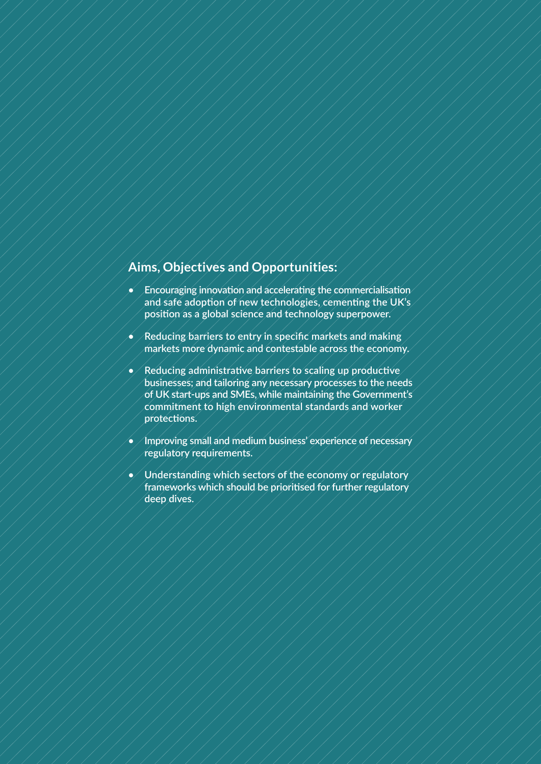## **Aims, Objectives and Opportunities:**

- **• Encouraging innovation and accelerating the commercialisation and safe adoption of new technologies, cementing the UK's position as a global science and technology superpower.**
- **• Reducing barriers to entry in specific markets and making markets more dynamic and contestable across the economy.**
- **• Reducing administrative barriers to scaling up productive businesses; and tailoring any necessary processes to the needs of UK start-ups and SMEs, while maintaining the Government's commitment to high environmental standards and worker protections.**
- **• Improving small and medium business' experience of necessary regulatory requirements.**
- **• Understanding which sectors of the economy or regulatory frameworks which should be prioritised for further regulatory deep dives.**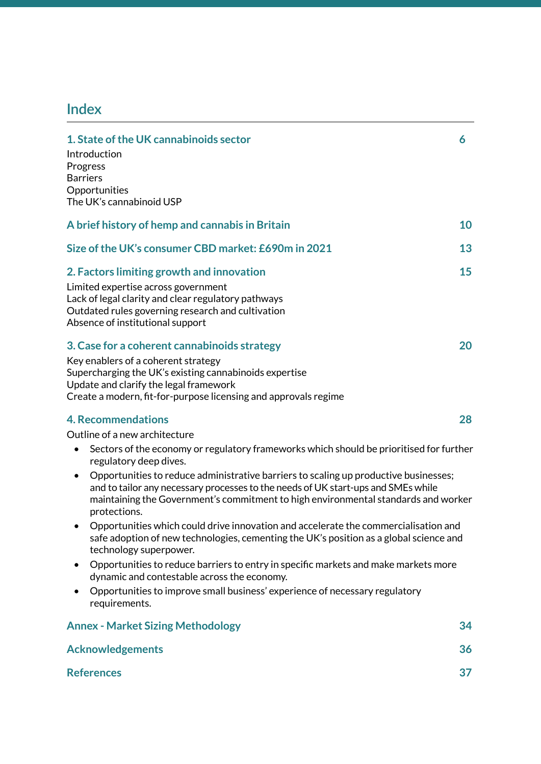# **Index**

| 1. State of the UK cannabinoids sector                                                                                                                                                                                                                                                       | 6  |
|----------------------------------------------------------------------------------------------------------------------------------------------------------------------------------------------------------------------------------------------------------------------------------------------|----|
| Introduction<br>Progress<br><b>Barriers</b>                                                                                                                                                                                                                                                  |    |
| Opportunities<br>The UK's cannabinoid USP                                                                                                                                                                                                                                                    |    |
| A brief history of hemp and cannabis in Britain                                                                                                                                                                                                                                              | 10 |
| Size of the UK's consumer CBD market: £690m in 2021                                                                                                                                                                                                                                          | 13 |
| 2. Factors limiting growth and innovation<br>Limited expertise across government<br>Lack of legal clarity and clear regulatory pathways<br>Outdated rules governing research and cultivation<br>Absence of institutional support                                                             | 15 |
| 3. Case for a coherent cannabinoids strategy<br>Key enablers of a coherent strategy<br>Supercharging the UK's existing cannabinoids expertise<br>Update and clarify the legal framework<br>Create a modern, fit-for-purpose licensing and approvals regime                                   | 20 |
| <b>4. Recommendations</b>                                                                                                                                                                                                                                                                    | 28 |
| Outline of a new architecture                                                                                                                                                                                                                                                                |    |
| Sectors of the economy or regulatory frameworks which should be prioritised for further<br>$\bullet$<br>regulatory deep dives.                                                                                                                                                               |    |
| Opportunities to reduce administrative barriers to scaling up productive businesses;<br>$\bullet$<br>and to tailor any necessary processes to the needs of UK start-ups and SMEs while<br>maintaining the Government's commitment to high environmental standards and worker<br>protections. |    |
| Opportunities which could drive innovation and accelerate the commercialisation and<br>$\bullet$<br>safe adoption of new technologies, cementing the UK's position as a global science and<br>technology superpower.                                                                         |    |
| Opportunities to reduce barriers to entry in specific markets and make markets more<br>$\bullet$<br>dynamic and contestable across the economy.                                                                                                                                              |    |
| Opportunities to improve small business' experience of necessary regulatory<br>requirements.                                                                                                                                                                                                 |    |
| <b>Annex - Market Sizing Methodology</b>                                                                                                                                                                                                                                                     | 34 |
| <b>Acknowledgements</b>                                                                                                                                                                                                                                                                      | 36 |
| <b>References</b>                                                                                                                                                                                                                                                                            | 37 |
|                                                                                                                                                                                                                                                                                              |    |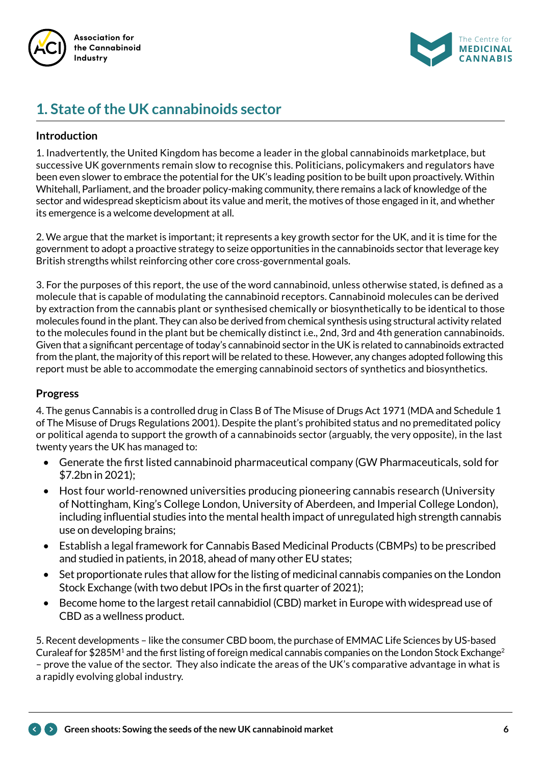



# **1. State of the UK cannabinoids sector**

#### **Introduction**

1. Inadvertently, the United Kingdom has become a leader in the global cannabinoids marketplace, but successive UK governments remain slow to recognise this. Politicians, policymakers and regulators have been even slower to embrace the potential for the UK's leading position to be built upon proactively. Within Whitehall, Parliament, and the broader policy-making community, there remains a lack of knowledge of the sector and widespread skepticism about its value and merit, the motives of those engaged in it, and whether its emergence is a welcome development at all.

2. We argue that the market is important; it represents a key growth sector for the UK, and it is time for the government to adopt a proactive strategy to seize opportunities in the cannabinoids sector that leverage key British strengths whilst reinforcing other core cross-governmental goals.

3. For the purposes of this report, the use of the word cannabinoid, unless otherwise stated, is defined as a molecule that is capable of modulating the cannabinoid receptors. Cannabinoid molecules can be derived by extraction from the cannabis plant or synthesised chemically or biosynthetically to be identical to those molecules found in the plant. They can also be derived from chemical synthesis using structural activity related to the molecules found in the plant but be chemically distinct i.e., 2nd, 3rd and 4th generation cannabinoids. Given that a significant percentage of today's cannabinoid sector in the UK is related to cannabinoids extracted from the plant, the majority of this report will be related to these. However, any changes adopted following this report must be able to accommodate the emerging cannabinoid sectors of synthetics and biosynthetics.

#### **Progress**

4. The genus Cannabis is a controlled drug in Class B of The Misuse of Drugs Act 1971 (MDA and Schedule 1 of The Misuse of Drugs Regulations 2001). Despite the plant's prohibited status and no premeditated policy or political agenda to support the growth of a cannabinoids sector (arguably, the very opposite), in the last twenty years the UK has managed to:

- Generate the first listed cannabinoid pharmaceutical company (GW Pharmaceuticals, sold for \$7.2bn in 2021);
- Host four world-renowned universities producing pioneering cannabis research (University of Nottingham, King's College London, University of Aberdeen, and Imperial College London), including influential studies into the mental health impact of unregulated high strength cannabis use on developing brains;
- Establish a legal framework for Cannabis Based Medicinal Products (CBMPs) to be prescribed and studied in patients, in 2018, ahead of many other EU states;
- Set proportionate rules that allow for the listing of medicinal cannabis companies on the London Stock Exchange (with two debut IPOs in the first quarter of 2021);
- Become home to the largest retail cannabidiol (CBD) market in Europe with widespread use of CBD as a wellness product.

5. Recent developments – like the consumer CBD boom, the purchase of EMMAC Life Sciences by US-based Curaleaf for \$285M<sup>1</sup> and the first listing of foreign medical cannabis companies on the London Stock Exchange<sup>2</sup> – prove the value of the sector. They also indicate the areas of the UK's comparative advantage in what is a rapidly evolving global industry.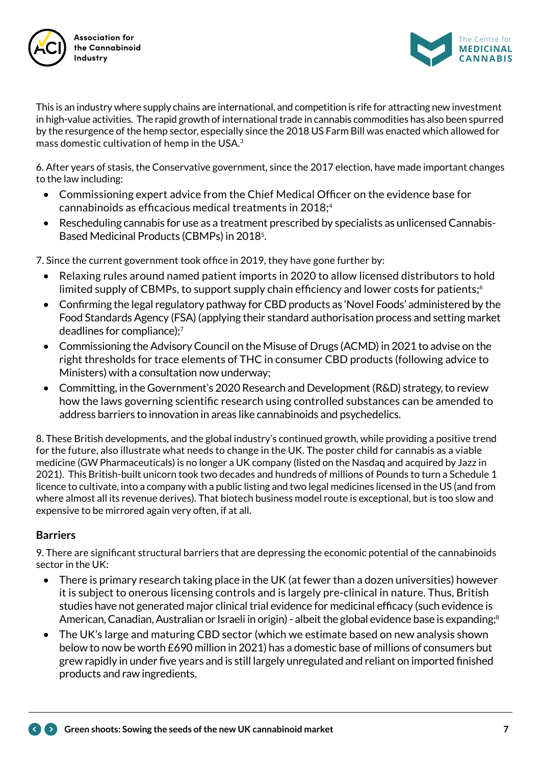



This is an industry where supply chains are international, and competition is rife for attracting new investment in high-value activities. The rapid growth of international trade in cannabis commodities has also been spurred by the resurgence of the hemp sector, especially since the 2018 US Farm Bill was enacted which allowed for mass domestic cultivation of hemp in the USA.<sup>3</sup>

6. After years of stasis, the Conservative government, since the 2017 election, have made important changes to the law including:

- Commissioning expert advice from the Chief Medical Officer on the evidence base for cannabinoids as efficacious medical treatments in 2018;4
- Rescheduling cannabis for use as a treatment prescribed by specialists as unlicensed Cannabis-Based Medicinal Products (CBMPs) in 2018<sup>5</sup>.

7. Since the current government took office in 2019, they have gone further by:

- Relaxing rules around named patient imports in 2020 to allow licensed distributors to hold limited supply of CBMPs, to support supply chain efficiency and lower costs for patients; $\circ$
- Confirming the legal regulatory pathway for CBD products as 'Novel Foods' administered by the Food Standards Agency (FSA) (applying their standard authorisation process and setting market deadlines for compliance);<sup>7</sup>
- Commissioning the Advisory Council on the Misuse of Drugs (ACMD) in 2021 to advise on the right thresholds for trace elements of THC in consumer CBD products (following advice to Ministers) with a consultation now underway;
- Committing, in the Government's 2020 Research and Development (R&D) strategy, to review how the laws governing scientific research using controlled substances can be amended to address barriers to innovation in areas like cannabinoids and psychedelics.

8. These British developments, and the global industry's continued growth, while providing a positive trend for the future, also illustrate what needs to change in the UK. The poster child for cannabis as a viable medicine (GW Pharmaceuticals) is no longer a UK company (listed on the Nasdaq and acquired by Jazz in 2021). This British-built unicorn took two decades and hundreds of millions of Pounds to turn a Schedule 1 licence to cultivate, into a company with a public listing and two legal medicines licensed in the US (and from where almost all its revenue derives). That biotech business model route is exceptional, but is too slow and expensive to be mirrored again very often, if at all.

## **Barriers**

9. There are significant structural barriers that are depressing the economic potential of the cannabinoids sector in the UK:

- There is primary research taking place in the UK (at fewer than a dozen universities) however it is subject to onerous licensing controls and is largely pre-clinical in nature. Thus, British studies have not generated major clinical trial evidence for medicinal efficacy (such evidence is American, Canadian, Australian or Israeli in origin) - albeit the global evidence base is expanding;<sup>8</sup>
- The UK's large and maturing CBD sector (which we estimate based on new analysis shown below to now be worth £690 million in 2021) has a domestic base of millions of consumers but grew rapidly in under five years and is still largely unregulated and reliant on imported finished products and raw ingredients.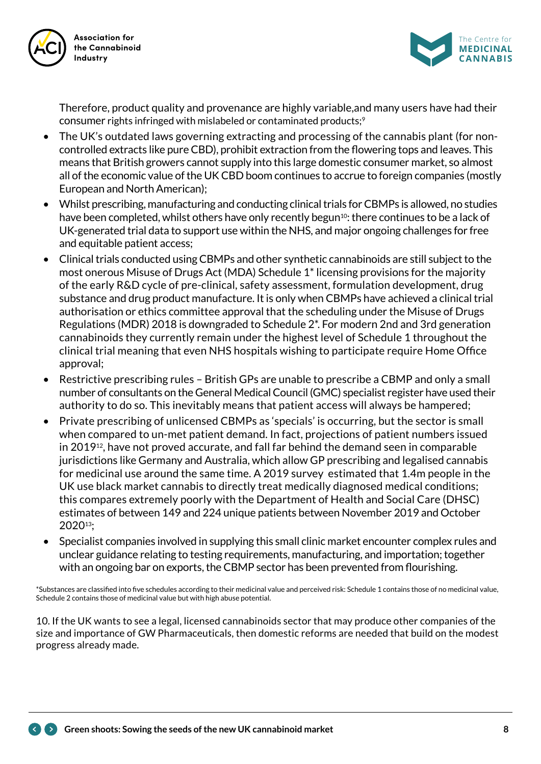



Therefore, product quality and provenance are highly variable,and many users have had their consumer rights infringed with mislabeled or contaminated products;<sup>9</sup>

- The UK's outdated laws governing extracting and processing of the cannabis plant (for noncontrolled extracts like pure CBD), prohibit extraction from the flowering tops and leaves. This means that British growers cannot supply into this large domestic consumer market, so almost all of the economic value of the UK CBD boom continues to accrue to foreign companies (mostly European and North American);
- Whilst prescribing, manufacturing and conducting clinical trials for CBMPs is allowed, no studies have been completed, whilst others have only recently begun<sup>10</sup>: there continues to be a lack of UK-generated trial data to support use within the NHS, and major ongoing challenges for free and equitable patient access;
- Clinical trials conducted using CBMPs and other synthetic cannabinoids are still subject to the most onerous Misuse of Drugs Act (MDA) Schedule 1\* licensing provisions for the majority of the early R&D cycle of pre-clinical, safety assessment, formulation development, drug substance and drug product manufacture. It is only when CBMPs have achieved a clinical trial authorisation or ethics committee approval that the scheduling under the Misuse of Drugs Regulations (MDR) 2018 is downgraded to Schedule 2\*. For modern 2nd and 3rd generation cannabinoids they currently remain under the highest level of Schedule 1 throughout the clinical trial meaning that even NHS hospitals wishing to participate require Home Office approval;
- Restrictive prescribing rules British GPs are unable to prescribe a CBMP and only a small number of consultants on the General Medical Council (GMC) specialist register have used their authority to do so. This inevitably means that patient access will always be hampered;
- Private prescribing of unlicensed CBMPs as 'specials' is occurring, but the sector is small when compared to un-met patient demand. In fact, projections of patient numbers issued in 201912, have not proved accurate, and fall far behind the demand seen in comparable jurisdictions like Germany and Australia, which allow GP prescribing and legalised cannabis for medicinal use around the same time. A 2019 survey estimated that 1.4m people in the UK use black market cannabis to directly treat medically diagnosed medical conditions; this compares extremely poorly with the Department of Health and Social Care (DHSC) estimates of between 149 and 224 unique patients between November 2019 and October 202013;
- Specialist companies involved in supplying this small clinic market encounter complex rules and unclear guidance relating to testing requirements, manufacturing, and importation; together with an ongoing bar on exports, the CBMP sector has been prevented from flourishing.

\*Substances are classified into five schedules according to their medicinal value and perceived risk: Schedule 1 contains those of no medicinal value, Schedule 2 contains those of medicinal value but with high abuse potential.

10. If the UK wants to see a legal, licensed cannabinoids sector that may produce other companies of the size and importance of GW Pharmaceuticals, then domestic reforms are needed that build on the modest progress already made.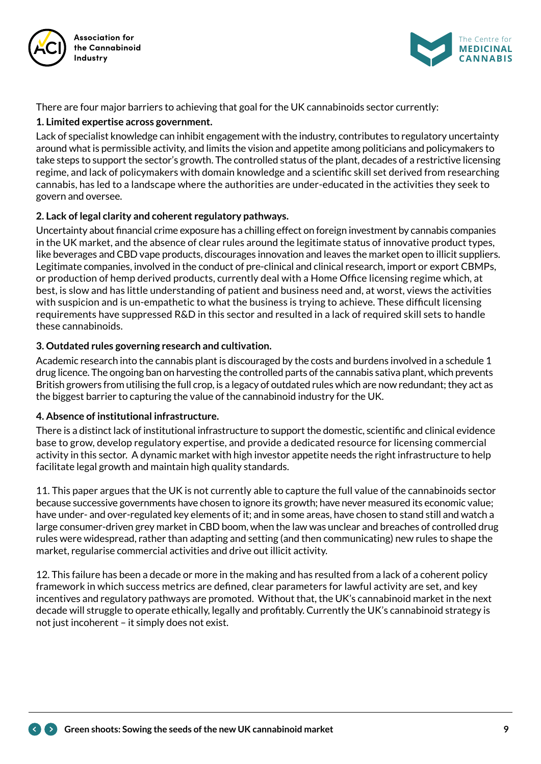



There are four major barriers to achieving that goal for the UK cannabinoids sector currently:

#### **1. Limited expertise across government.**

Lack of specialist knowledge can inhibit engagement with the industry, contributes to regulatory uncertainty around what is permissible activity, and limits the vision and appetite among politicians and policymakers to take steps to support the sector's growth. The controlled status of the plant, decades of a restrictive licensing regime, and lack of policymakers with domain knowledge and a scientific skill set derived from researching cannabis, has led to a landscape where the authorities are under-educated in the activities they seek to govern and oversee.

#### **2. Lack of legal clarity and coherent regulatory pathways.**

Uncertainty about financial crime exposure has a chilling effect on foreign investment by cannabis companies in the UK market, and the absence of clear rules around the legitimate status of innovative product types, like beverages and CBD vape products, discourages innovation and leaves the market open to illicit suppliers. Legitimate companies, involved in the conduct of pre-clinical and clinical research, import or export CBMPs, or production of hemp derived products, currently deal with a Home Office licensing regime which, at best, is slow and has little understanding of patient and business need and, at worst, views the activities with suspicion and is un-empathetic to what the business is trying to achieve. These difficult licensing requirements have suppressed R&D in this sector and resulted in a lack of required skill sets to handle these cannabinoids.

#### **3. Outdated rules governing research and cultivation.**

Academic research into the cannabis plant is discouraged by the costs and burdens involved in a schedule 1 drug licence. The ongoing ban on harvesting the controlled parts of the cannabis sativa plant, which prevents British growers from utilising the full crop, is a legacy of outdated rules which are now redundant; they act as the biggest barrier to capturing the value of the cannabinoid industry for the UK.

#### **4. Absence of institutional infrastructure.**

There is a distinct lack of institutional infrastructure to support the domestic, scientific and clinical evidence base to grow, develop regulatory expertise, and provide a dedicated resource for licensing commercial activity in this sector. A dynamic market with high investor appetite needs the right infrastructure to help facilitate legal growth and maintain high quality standards.

11. This paper argues that the UK is not currently able to capture the full value of the cannabinoids sector because successive governments have chosen to ignore its growth; have never measured its economic value; have under- and over-regulated key elements of it; and in some areas, have chosen to stand still and watch a large consumer-driven grey market in CBD boom, when the law was unclear and breaches of controlled drug rules were widespread, rather than adapting and setting (and then communicating) new rules to shape the market, regularise commercial activities and drive out illicit activity.

12. This failure has been a decade or more in the making and has resulted from a lack of a coherent policy framework in which success metrics are defined, clear parameters for lawful activity are set, and key incentives and regulatory pathways are promoted. Without that, the UK's cannabinoid market in the next decade will struggle to operate ethically, legally and profitably. Currently the UK's cannabinoid strategy is not just incoherent – it simply does not exist.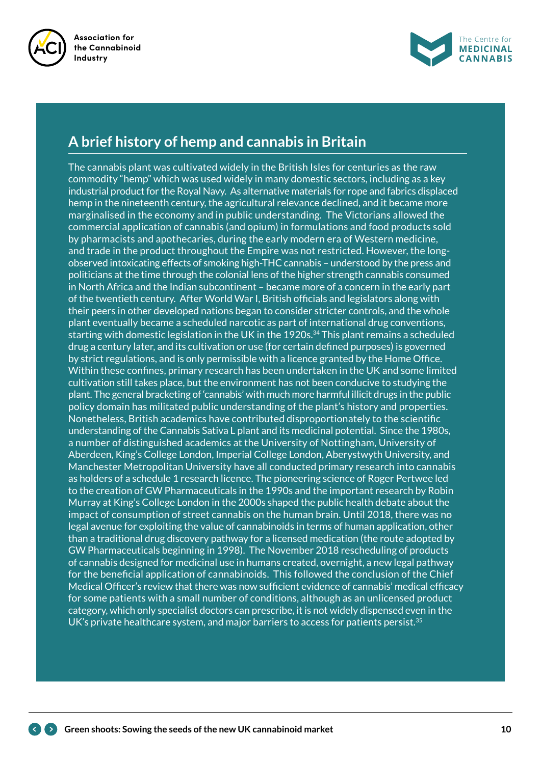



## **A brief history of hemp and cannabis in Britain**

The cannabis plant was cultivated widely in the British Isles for centuries as the raw commodity "hemp" which was used widely in many domestic sectors, including as a key industrial product for the Royal Navy. As alternative materials for rope and fabrics displaced hemp in the nineteenth century, the agricultural relevance declined, and it became more marginalised in the economy and in public understanding. The Victorians allowed the commercial application of cannabis (and opium) in formulations and food products sold by pharmacists and apothecaries, during the early modern era of Western medicine, and trade in the product throughout the Empire was not restricted. However, the longobserved intoxicating effects of smoking high-THC cannabis – understood by the press and politicians at the time through the colonial lens of the higher strength cannabis consumed in North Africa and the Indian subcontinent – became more of a concern in the early part of the twentieth century. After World War I, British officials and legislators along with their peers in other developed nations began to consider stricter controls, and the whole plant eventually became a scheduled narcotic as part of international drug conventions, starting with domestic legislation in the UK in the 1920s. $34$  This plant remains a scheduled drug a century later, and its cultivation or use (for certain defined purposes) is governed by strict regulations, and is only permissible with a licence granted by the Home Office. Within these confines, primary research has been undertaken in the UK and some limited cultivation still takes place, but the environment has not been conducive to studying the plant. The general bracketing of 'cannabis' with much more harmful illicit drugs in the public policy domain has militated public understanding of the plant's history and properties. Nonetheless, British academics have contributed disproportionately to the scientific understanding of the Cannabis Sativa L plant and its medicinal potential. Since the 1980s, a number of distinguished academics at the University of Nottingham, University of Aberdeen, King's College London, Imperial College London, Aberystwyth University, and Manchester Metropolitan University have all conducted primary research into cannabis as holders of a schedule 1 research licence. The pioneering science of Roger Pertwee led to the creation of GW Pharmaceuticals in the 1990s and the important research by Robin Murray at King's College London in the 2000s shaped the public health debate about the impact of consumption of street cannabis on the human brain. Until 2018, there was no legal avenue for exploiting the value of cannabinoids in terms of human application, other than a traditional drug discovery pathway for a licensed medication (the route adopted by GW Pharmaceuticals beginning in 1998). The November 2018 rescheduling of products of cannabis designed for medicinal use in humans created, overnight, a new legal pathway for the beneficial application of cannabinoids. This followed the conclusion of the Chief Medical Officer's review that there was now sufficient evidence of cannabis' medical efficacy for some patients with a small number of conditions, although as an unlicensed product category, which only specialist doctors can prescribe, it is not widely dispensed even in the UK's private healthcare system, and major barriers to access for patients persist.<sup>35</sup>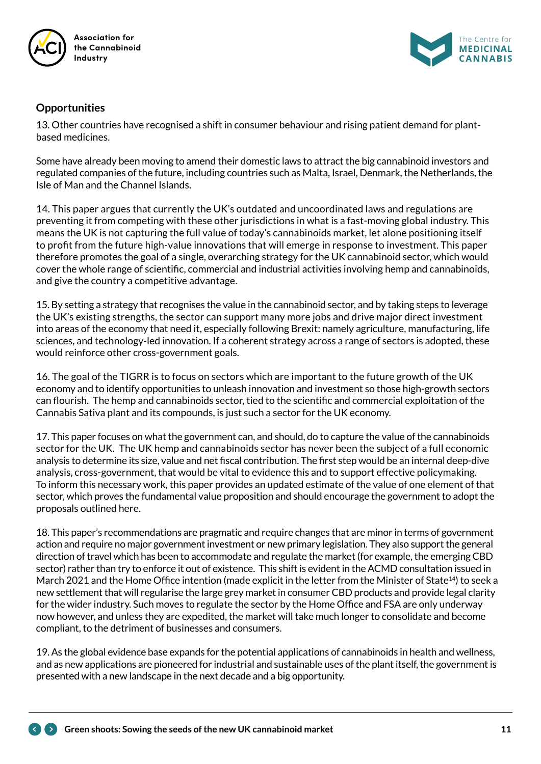

**Association for the Cannabinoid** 



#### **Opportunities**

13. Other countries have recognised a shift in consumer behaviour and rising patient demand for plantbased medicines.

Some have already been moving to amend their domestic laws to attract the big cannabinoid investors and regulated companies of the future, including countries such as Malta, Israel, Denmark, the Netherlands, the Isle of Man and the Channel Islands.

14. This paper argues that currently the UK's outdated and uncoordinated laws and regulations are preventing it from competing with these other jurisdictions in what is a fast-moving global industry. This means the UK is not capturing the full value of today's cannabinoids market, let alone positioning itself to profit from the future high-value innovations that will emerge in response to investment. This paper therefore promotes the goal of a single, overarching strategy for the UK cannabinoid sector, which would cover the whole range of scientific, commercial and industrial activities involving hemp and cannabinoids, and give the country a competitive advantage.

15. By setting a strategy that recognises the value in the cannabinoid sector, and by taking steps to leverage the UK's existing strengths, the sector can support many more jobs and drive major direct investment into areas of the economy that need it, especially following Brexit: namely agriculture, manufacturing, life sciences, and technology-led innovation. If a coherent strategy across a range of sectors is adopted, these would reinforce other cross-government goals.

16. The goal of the TIGRR is to focus on sectors which are important to the future growth of the UK economy and to identify opportunities to unleash innovation and investment so those high-growth sectors can flourish. The hemp and cannabinoids sector, tied to the scientific and commercial exploitation of the Cannabis Sativa plant and its compounds, is just such a sector for the UK economy.

17. This paper focuses on what the government can, and should, do to capture the value of the cannabinoids sector for the UK. The UK hemp and cannabinoids sector has never been the subject of a full economic analysis to determine its size, value and net fiscal contribution. The first step would be an internal deep-dive analysis, cross-government, that would be vital to evidence this and to support effective policymaking. To inform this necessary work, this paper provides an updated estimate of the value of one element of that sector, which proves the fundamental value proposition and should encourage the government to adopt the proposals outlined here.

18. This paper's recommendations are pragmatic and require changes that are minor in terms of government action and require no major government investment or new primary legislation. They also support the general direction of travel which has been to accommodate and regulate the market (for example, the emerging CBD sector) rather than try to enforce it out of existence. This shift is evident in the ACMD consultation issued in March 2021 and the Home Office intention (made explicit in the letter from the Minister of State<sup>14</sup>) to seek a new settlement that will regularise the large grey market in consumer CBD products and provide legal clarity for the wider industry. Such moves to regulate the sector by the Home Office and FSA are only underway now however, and unless they are expedited, the market will take much longer to consolidate and become compliant, to the detriment of businesses and consumers.

19. As the global evidence base expands for the potential applications of cannabinoids in health and wellness, and as new applications are pioneered for industrial and sustainable uses of the plant itself, the government is presented with a new landscape in the next decade and a big opportunity.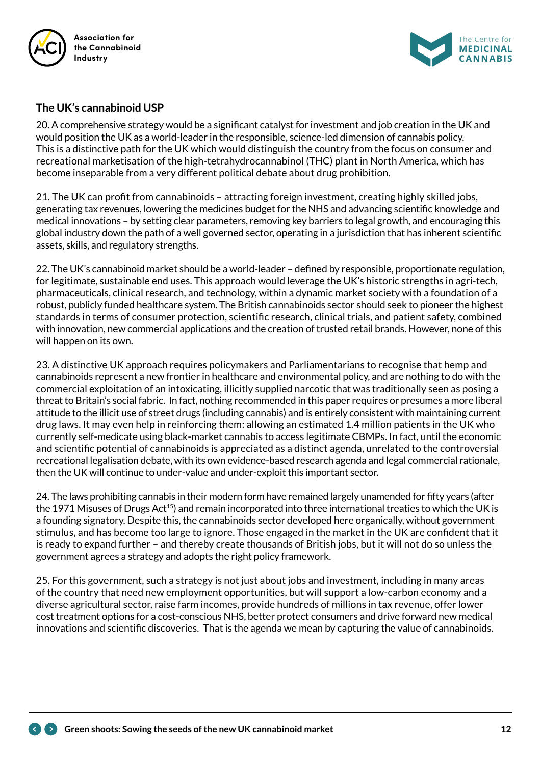



#### **The UK's cannabinoid USP**

20. A comprehensive strategy would be a significant catalyst for investment and job creation in the UK and would position the UK as a world-leader in the responsible, science-led dimension of cannabis policy. This is a distinctive path for the UK which would distinguish the country from the focus on consumer and recreational marketisation of the high-tetrahydrocannabinol (THC) plant in North America, which has become inseparable from a very different political debate about drug prohibition.

21. The UK can profit from cannabinoids – attracting foreign investment, creating highly skilled jobs, generating tax revenues, lowering the medicines budget for the NHS and advancing scientific knowledge and medical innovations – by setting clear parameters, removing key barriers to legal growth, and encouraging this global industry down the path of a well governed sector, operating in a jurisdiction that has inherent scientific assets, skills, and regulatory strengths.

22. The UK's cannabinoid market should be a world-leader – defined by responsible, proportionate regulation, for legitimate, sustainable end uses. This approach would leverage the UK's historic strengths in agri-tech, pharmaceuticals, clinical research, and technology, within a dynamic market society with a foundation of a robust, publicly funded healthcare system. The British cannabinoids sector should seek to pioneer the highest standards in terms of consumer protection, scientific research, clinical trials, and patient safety, combined with innovation, new commercial applications and the creation of trusted retail brands. However, none of this will happen on its own.

23. A distinctive UK approach requires policymakers and Parliamentarians to recognise that hemp and cannabinoids represent a new frontier in healthcare and environmental policy, and are nothing to do with the commercial exploitation of an intoxicating, illicitly supplied narcotic that was traditionally seen as posing a threat to Britain's social fabric. In fact, nothing recommended in this paper requires or presumes a more liberal attitude to the illicit use of street drugs (including cannabis) and is entirely consistent with maintaining current drug laws. It may even help in reinforcing them: allowing an estimated 1.4 million patients in the UK who currently self-medicate using black-market cannabis to access legitimate CBMPs. In fact, until the economic and scientific potential of cannabinoids is appreciated as a distinct agenda, unrelated to the controversial recreational legalisation debate, with its own evidence-based research agenda and legal commercial rationale, then the UK will continue to under-value and under-exploit this important sector.

24. The laws prohibiting cannabis in their modern form have remained largely unamended for fifty years (after the 1971 Misuses of Drugs Act<sup>15</sup>) and remain incorporated into three international treaties to which the UK is a founding signatory. Despite this, the cannabinoids sector developed here organically, without government stimulus, and has become too large to ignore. Those engaged in the market in the UK are confident that it is ready to expand further – and thereby create thousands of British jobs, but it will not do so unless the government agrees a strategy and adopts the right policy framework.

25. For this government, such a strategy is not just about jobs and investment, including in many areas of the country that need new employment opportunities, but will support a low-carbon economy and a diverse agricultural sector, raise farm incomes, provide hundreds of millions in tax revenue, offer lower cost treatment options for a cost-conscious NHS, better protect consumers and drive forward new medical innovations and scientific discoveries. That is the agenda we mean by capturing the value of cannabinoids.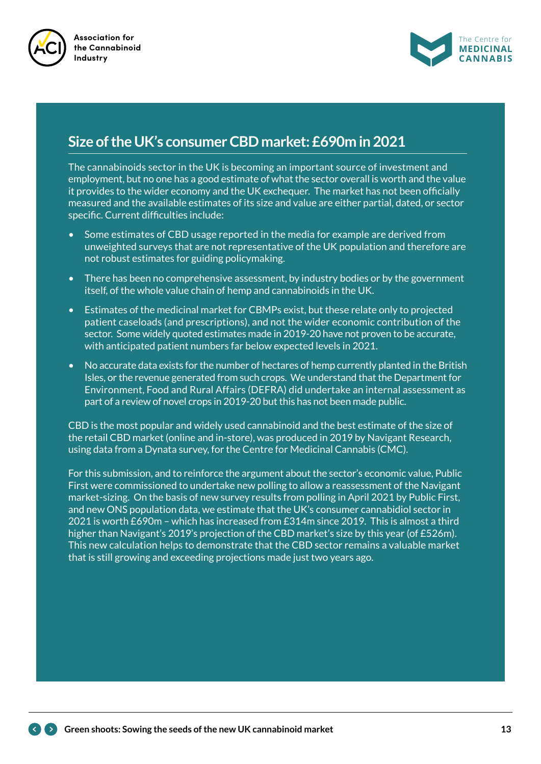



## **Size of the UK's consumer CBD market: £690m in 2021**

The cannabinoids sector in the UK is becoming an important source of investment and employment, but no one has a good estimate of what the sector overall is worth and the value it provides to the wider economy and the UK exchequer. The market has not been officially measured and the available estimates of its size and value are either partial, dated, or sector specific. Current difficulties include:

- Some estimates of CBD usage reported in the media for example are derived from unweighted surveys that are not representative of the UK population and therefore are not robust estimates for guiding policymaking.
- There has been no comprehensive assessment, by industry bodies or by the government itself, of the whole value chain of hemp and cannabinoids in the UK.
- Estimates of the medicinal market for CBMPs exist, but these relate only to projected patient caseloads (and prescriptions), and not the wider economic contribution of the sector. Some widely quoted estimates made in 2019-20 have not proven to be accurate, with anticipated patient numbers far below expected levels in 2021.
- No accurate data exists for the number of hectares of hemp currently planted in the British Isles, or the revenue generated from such crops. We understand that the Department for Environment, Food and Rural Affairs (DEFRA) did undertake an internal assessment as part of a review of novel crops in 2019-20 but this has not been made public.

CBD is the most popular and widely used cannabinoid and the best estimate of the size of the retail CBD market (online and in-store), was produced in 2019 by Navigant Research, using data from a Dynata survey, for the Centre for Medicinal Cannabis (CMC).

For this submission, and to reinforce the argument about the sector's economic value, Public First were commissioned to undertake new polling to allow a reassessment of the Navigant market-sizing. On the basis of new survey results from polling in April 2021 by Public First, and new ONS population data, we estimate that the UK's consumer cannabidiol sector in 2021 is worth £690m – which has increased from £314m since 2019. This is almost a third higher than Navigant's 2019's projection of the CBD market's size by this year (of £526m). This new calculation helps to demonstrate that the CBD sector remains a valuable market that is still growing and exceeding projections made just two years ago.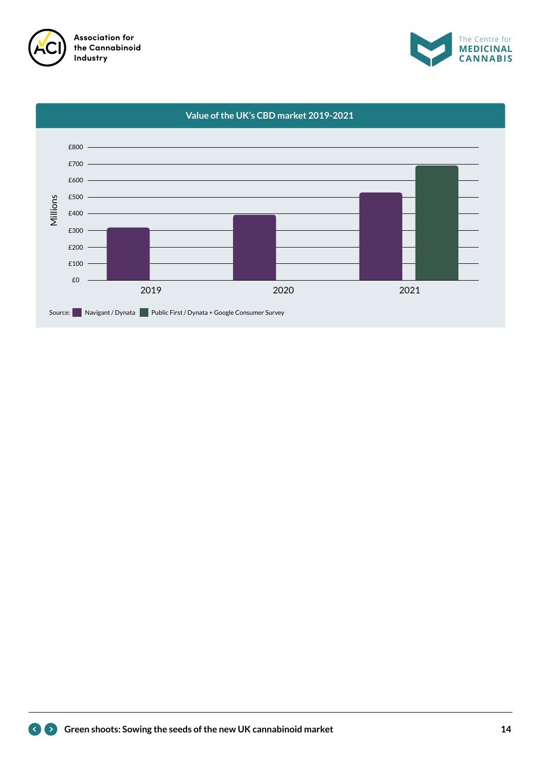



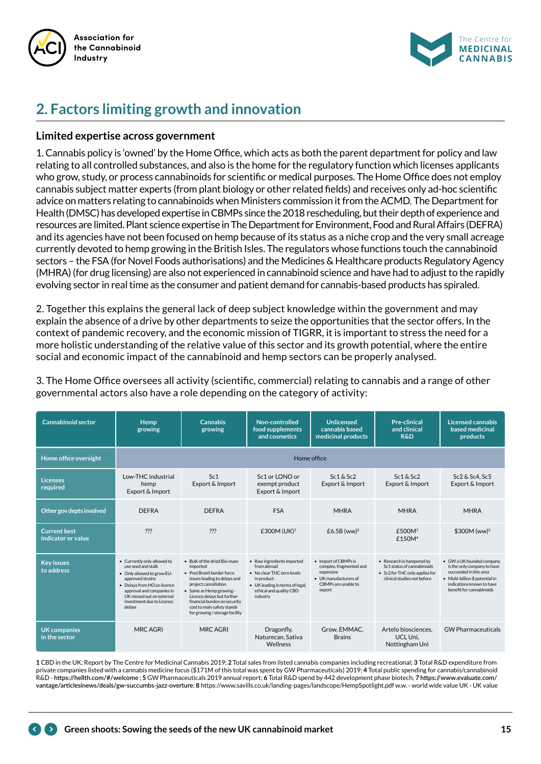



# **2. Factors limiting growth and innovation**

#### **Limited expertise across government**

1. Cannabis policy is 'owned' by the Home Office, which acts as both the parent department for policy and law relating to all controlled substances, and also is the home for the regulatory function which licenses applicants who grow, study, or process cannabinoids for scientific or medical purposes. The Home Office does not employ cannabis subject matter experts (from plant biology or other related fields) and receives only ad-hoc scientific advice on matters relating to cannabinoids when Ministers commission it from the ACMD. The Department for Health (DMSC) has developed expertise in CBMPs since the 2018 rescheduling, but their depth of experience and resources are limited. Plant science expertise in The Department for Environment, Food and Rural Affairs (DEFRA) and its agencies have not been focused on hemp because of its status as a niche crop and the very small acreage currently devoted to hemp growing in the British Isles. The regulators whose functions touch the cannabinoid sectors – the FSA (for Novel Foods authorisations) and the Medicines & Healthcare products Regulatory Agency (MHRA) (for drug licensing) are also not experienced in cannabinoid science and have had to adjust to the rapidly evolving sector in real time as the consumer and patient demand for cannabis-based products has spiraled.

2. Together this explains the general lack of deep subject knowledge within the government and may explain the absence of a drive by other departments to seize the opportunities that the sector offers. In the context of pandemic recovery, and the economic mission of TIGRR, it is important to stress the need for a more holistic understanding of the relative value of this sector and its growth potential, where the entire social and economic impact of the cannabinoid and hemp sectors can be properly analysed.

3. The Home Office oversees all activity (scientific, commercial) relating to cannabis and a range of other governmental actors also have a role depending on the category of activity:

| Cannabinoid sector                        | <b>Hemp</b><br>growing                                                                                                                                                                                                              | <b>Cannabis</b><br>growing                                                                                                                                                                                                                                                               | Non-controlled<br>food supplements<br>and cosmetics                                                                                                             | <b>Unlicensed</b><br>cannabis based<br>medicinal products                                                              | <b>Pre-clinical</b><br>and clinical<br><b>R&amp;D</b>                                                                    | Licensed cannabis<br>based medicinal<br>products                                                                                                                               |  |
|-------------------------------------------|-------------------------------------------------------------------------------------------------------------------------------------------------------------------------------------------------------------------------------------|------------------------------------------------------------------------------------------------------------------------------------------------------------------------------------------------------------------------------------------------------------------------------------------|-----------------------------------------------------------------------------------------------------------------------------------------------------------------|------------------------------------------------------------------------------------------------------------------------|--------------------------------------------------------------------------------------------------------------------------|--------------------------------------------------------------------------------------------------------------------------------------------------------------------------------|--|
| Home office oversight                     | Home office                                                                                                                                                                                                                         |                                                                                                                                                                                                                                                                                          |                                                                                                                                                                 |                                                                                                                        |                                                                                                                          |                                                                                                                                                                                |  |
| <b>Licenses</b><br>reauired               | Low-THC industrial<br>hemp<br>Export & Import                                                                                                                                                                                       | Sc <sub>1</sub><br>Export & Import                                                                                                                                                                                                                                                       | $Sc1$ or $LONO$ or<br>exempt product<br>Export & Import                                                                                                         | Sc1 & Sc2<br>Export & Import                                                                                           | Sc1 & Sc2<br>Export & Import                                                                                             | Sc2 & Sc4, Sc5<br>Export & Import                                                                                                                                              |  |
| Other gov depts involved                  | <b>DEFRA</b>                                                                                                                                                                                                                        | <b>DEFRA</b>                                                                                                                                                                                                                                                                             | <b>FSA</b>                                                                                                                                                      | <b>MHRA</b>                                                                                                            | <b>MHRA</b>                                                                                                              | <b>MHRA</b>                                                                                                                                                                    |  |
| <b>Current best</b><br>indicator or value | ???                                                                                                                                                                                                                                 | ???                                                                                                                                                                                                                                                                                      | £300M (UK) <sup>1</sup>                                                                                                                                         | $£6.5B$ (ww) <sup>2</sup>                                                                                              | £500M <sup>3</sup><br>£150M <sup>4</sup>                                                                                 | \$300M (ww) <sup>5</sup>                                                                                                                                                       |  |
| <b>Key issues</b><br>to address           | • Currently only allowed to<br>use seed and stalk<br>• Only allowed to grow EU-<br>approved strains<br>• Delays from HO on licence<br>approval and companies in<br>UK missed out on external<br>investment due to Licence<br>delays | • Bulk of the dried Bio-mass<br>imported<br>• Post Brexit border force<br>issues leading to delays and<br>project cancellation<br>• Same as Hemp growing -<br>Licence delays but further<br>financial burden on security<br>cost to main safety stands<br>for growing / storage facility | • Raw ingredients imported<br>from abroad<br>. No clear THC zero levels<br>in product<br>• UK leading in terms of legal,<br>ethical and quality CBD<br>industry | • Import of CBMPs is<br>complex, fragmented and<br>expensive<br>• UK manufacturers of<br>CBMPs are unable to<br>export | • Research is hampered by<br>Sc1 status of cannabinoids<br>• Sc2 for THC only applies for<br>clinical studies not before | • GW a UK founded company<br>is the only company to have<br>succeeded in this area<br>• Multi-billion \$ potential in<br>indications known to have<br>benefit for cannabinoids |  |
| <b>UK companies</b><br>in the sector      | MRC AGRI                                                                                                                                                                                                                            | <b>MRC AGRI</b>                                                                                                                                                                                                                                                                          | Dragonfly,<br>Naturecan, Sativa<br>Wellness                                                                                                                     | Grow. EMMAC.<br><b>Brains</b>                                                                                          | Artelo biosciences.<br><b>GW Pharmaceuticals</b><br>UCL Uni.<br>Nottingham Uni                                           |                                                                                                                                                                                |  |

**1** CBD in the UK; Report by The Centre for Medicinal Cannabis 2019; **2** Total sales from listed cannabis companies including recreational; **3** Total R&D expenditure from private companies listed with a cannabis medicine focus (\$171M of this total was spent by GW Pharmaceuticals) 2019; **4** Total public spending for cannabis/cannabinoid R&D - **https://hellth.com/#/welcome** ; **5** GW Pharmaceuticals 2019 annual report; **6** Total R&D spend by 442 development phase biotech; **7 https://www.evaluate.com/ vantage/articlesinews/deals/gw-succumbs-jazz-overture**; **8** https://www.savills.co.uk/landing-pages/landscope/HempSpotlight.pdf w.w. - world wide value UK - UK value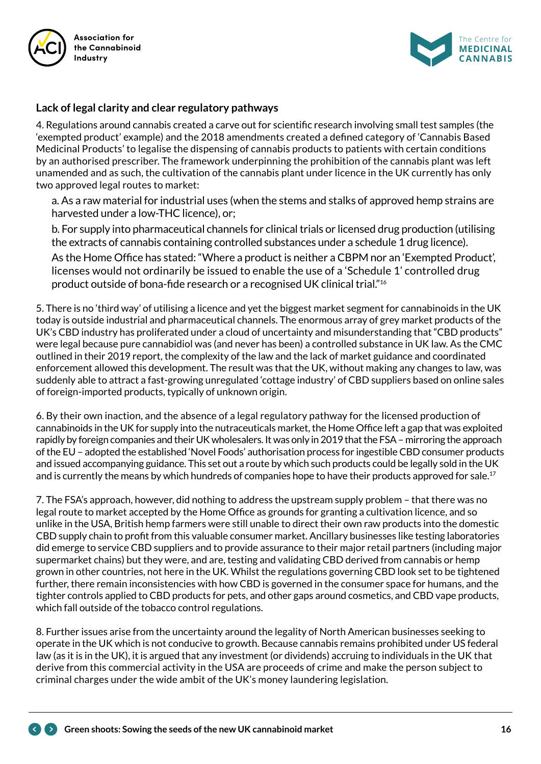



#### **Lack of legal clarity and clear regulatory pathways**

4. Regulations around cannabis created a carve out for scientific research involving small test samples (the 'exempted product' example) and the 2018 amendments created a defined category of 'Cannabis Based Medicinal Products' to legalise the dispensing of cannabis products to patients with certain conditions by an authorised prescriber. The framework underpinning the prohibition of the cannabis plant was left unamended and as such, the cultivation of the cannabis plant under licence in the UK currently has only two approved legal routes to market:

a. As a raw material for industrial uses (when the stems and stalks of approved hemp strains are harvested under a low-THC licence), or;

b. For supply into pharmaceutical channels for clinical trials or licensed drug production (utilising the extracts of cannabis containing controlled substances under a schedule 1 drug licence).

As the Home Office has stated: "Where a product is neither a CBPM nor an 'Exempted Product', licenses would not ordinarily be issued to enable the use of a 'Schedule 1' controlled drug product outside of bona-fide research or a recognised UK clinical trial."16

5. There is no 'third way' of utilising a licence and yet the biggest market segment for cannabinoids in the UK today is outside industrial and pharmaceutical channels. The enormous array of grey market products of the UK's CBD industry has proliferated under a cloud of uncertainty and misunderstanding that "CBD products" were legal because pure cannabidiol was (and never has been) a controlled substance in UK law. As the CMC outlined in their 2019 report, the complexity of the law and the lack of market guidance and coordinated enforcement allowed this development. The result was that the UK, without making any changes to law, was suddenly able to attract a fast-growing unregulated 'cottage industry' of CBD suppliers based on online sales of foreign-imported products, typically of unknown origin.

6. By their own inaction, and the absence of a legal regulatory pathway for the licensed production of cannabinoids in the UK for supply into the nutraceuticals market, the Home Office left a gap that was exploited rapidly by foreign companies and their UK wholesalers. It was only in 2019 that the FSA – mirroring the approach of the EU – adopted the established 'Novel Foods' authorisation process for ingestible CBD consumer products and issued accompanying guidance. This set out a route by which such products could be legally sold in the UK and is currently the means by which hundreds of companies hope to have their products approved for sale.<sup>17</sup>

7. The FSA's approach, however, did nothing to address the upstream supply problem – that there was no legal route to market accepted by the Home Office as grounds for granting a cultivation licence, and so unlike in the USA, British hemp farmers were still unable to direct their own raw products into the domestic CBD supply chain to profit from this valuable consumer market. Ancillary businesses like testing laboratories did emerge to service CBD suppliers and to provide assurance to their major retail partners (including major supermarket chains) but they were, and are, testing and validating CBD derived from cannabis or hemp grown in other countries, not here in the UK. Whilst the regulations governing CBD look set to be tightened further, there remain inconsistencies with how CBD is governed in the consumer space for humans, and the tighter controls applied to CBD products for pets, and other gaps around cosmetics, and CBD vape products, which fall outside of the tobacco control regulations.

8. Further issues arise from the uncertainty around the legality of North American businesses seeking to operate in the UK which is not conducive to growth. Because cannabis remains prohibited under US federal law (as it is in the UK), it is argued that any investment (or dividends) accruing to individuals in the UK that derive from this commercial activity in the USA are proceeds of crime and make the person subject to criminal charges under the wide ambit of the UK's money laundering legislation.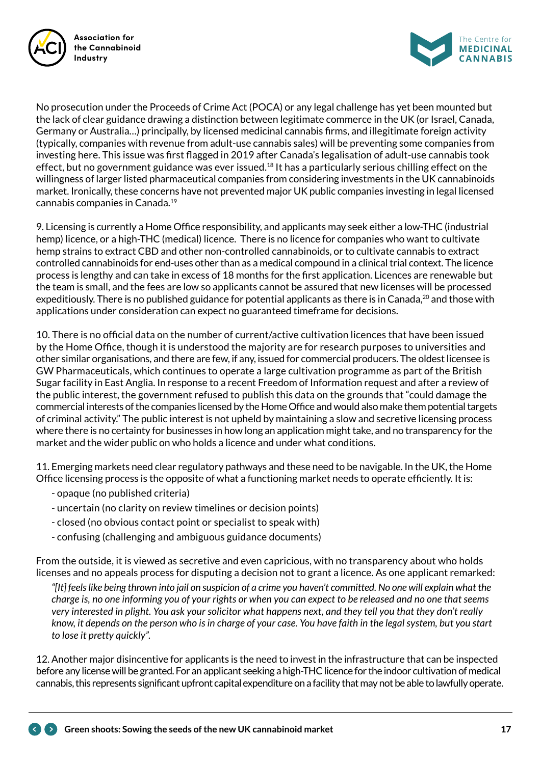



No prosecution under the Proceeds of Crime Act (POCA) or any legal challenge has yet been mounted but the lack of clear guidance drawing a distinction between legitimate commerce in the UK (or Israel, Canada, Germany or Australia…) principally, by licensed medicinal cannabis firms, and illegitimate foreign activity (typically, companies with revenue from adult-use cannabis sales) will be preventing some companies from investing here. This issue was first flagged in 2019 after Canada's legalisation of adult-use cannabis took effect, but no government guidance was ever issued.<sup>18</sup> It has a particularly serious chilling effect on the willingness of larger listed pharmaceutical companies from considering investments in the UK cannabinoids market. Ironically, these concerns have not prevented major UK public companies investing in legal licensed cannabis companies in Canada.<sup>19</sup>

9. Licensing is currently a Home Office responsibility, and applicants may seek either a low-THC (industrial hemp) licence, or a high-THC (medical) licence. There is no licence for companies who want to cultivate hemp strains to extract CBD and other non-controlled cannabinoids, or to cultivate cannabis to extract controlled cannabinoids for end-uses other than as a medical compound in a clinical trial context. The licence process is lengthy and can take in excess of 18 months for the first application. Licences are renewable but the team is small, and the fees are low so applicants cannot be assured that new licenses will be processed expeditiously. There is no published guidance for potential applicants as there is in Canada,  $^{20}$  and those with applications under consideration can expect no guaranteed timeframe for decisions.

10. There is no official data on the number of current/active cultivation licences that have been issued by the Home Office, though it is understood the majority are for research purposes to universities and other similar organisations, and there are few, if any, issued for commercial producers. The oldest licensee is GW Pharmaceuticals, which continues to operate a large cultivation programme as part of the British Sugar facility in East Anglia. In response to a recent Freedom of Information request and after a review of the public interest, the government refused to publish this data on the grounds that "could damage the commercial interests of the companies licensed by the Home Office and would also make them potential targets of criminal activity." The public interest is not upheld by maintaining a slow and secretive licensing process where there is no certainty for businesses in how long an application might take, and no transparency for the market and the wider public on who holds a licence and under what conditions.

11. Emerging markets need clear regulatory pathways and these need to be navigable. In the UK, the Home Office licensing process is the opposite of what a functioning market needs to operate efficiently. It is:

- opaque (no published criteria)
- uncertain (no clarity on review timelines or decision points)
- closed (no obvious contact point or specialist to speak with)
- confusing (challenging and ambiguous guidance documents)

From the outside, it is viewed as secretive and even capricious, with no transparency about who holds licenses and no appeals process for disputing a decision not to grant a licence. As one applicant remarked:

*"[It] feels like being thrown into jail on suspicion of a crime you haven't committed. No one will explain what the charge is, no one informing you of your rights or when you can expect to be released and no one that seems very interested in plight. You ask your solicitor what happens next, and they tell you that they don't really know, it depends on the person who is in charge of your case. You have faith in the legal system, but you start to lose it pretty quickly".*

12. Another major disincentive for applicants is the need to invest in the infrastructure that can be inspected before any license will be granted. For an applicant seeking a high-THC licence for the indoor cultivation of medical cannabis, this represents significant upfront capital expenditure on a facility that may not be able to lawfully operate.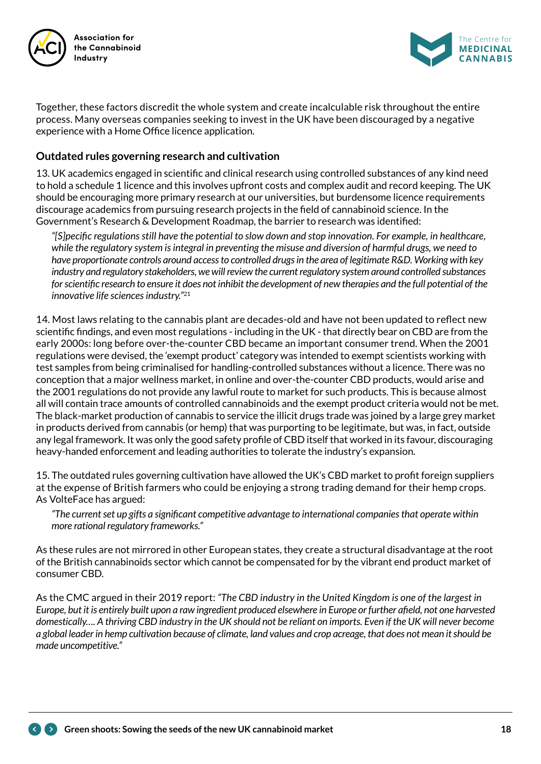



Together, these factors discredit the whole system and create incalculable risk throughout the entire process. Many overseas companies seeking to invest in the UK have been discouraged by a negative experience with a Home Office licence application.

#### **Outdated rules governing research and cultivation**

13. UK academics engaged in scientific and clinical research using controlled substances of any kind need to hold a schedule 1 licence and this involves upfront costs and complex audit and record keeping. The UK should be encouraging more primary research at our universities, but burdensome licence requirements discourage academics from pursuing research projects in the field of cannabinoid science. In the Government's Research & Development Roadmap, the barrier to research was identified:

*"[S]pecific regulations still have the potential to slow down and stop innovation. For example, in healthcare, while the regulatory system is integral in preventing the misuse and diversion of harmful drugs, we need to have proportionate controls around access to controlled drugs in the area of legitimate R&D. Working with key industry and regulatory stakeholders, we will review the current regulatory system around controlled substances for scientific research to ensure it does not inhibit the development of new therapies and the full potential of the innovative life sciences industry."*<sup>21</sup>

14. Most laws relating to the cannabis plant are decades-old and have not been updated to reflect new scientific findings, and even most regulations - including in the UK - that directly bear on CBD are from the early 2000s: long before over-the-counter CBD became an important consumer trend. When the 2001 regulations were devised, the 'exempt product' category was intended to exempt scientists working with test samples from being criminalised for handling-controlled substances without a licence. There was no conception that a major wellness market, in online and over-the-counter CBD products, would arise and the 2001 regulations do not provide any lawful route to market for such products. This is because almost all will contain trace amounts of controlled cannabinoids and the exempt product criteria would not be met. The black-market production of cannabis to service the illicit drugs trade was joined by a large grey market in products derived from cannabis (or hemp) that was purporting to be legitimate, but was, in fact, outside any legal framework. It was only the good safety profile of CBD itself that worked in its favour, discouraging heavy-handed enforcement and leading authorities to tolerate the industry's expansion.

15. The outdated rules governing cultivation have allowed the UK's CBD market to profit foreign suppliers at the expense of British farmers who could be enjoying a strong trading demand for their hemp crops. As VolteFace has argued:

*"The current set up gifts a significant competitive advantage to international companies that operate within more rational regulatory frameworks."*

As these rules are not mirrored in other European states, they create a structural disadvantage at the root of the British cannabinoids sector which cannot be compensated for by the vibrant end product market of consumer CBD.

As the CMC argued in their 2019 report: *"The CBD industry in the United Kingdom is one of the largest in Europe, but it is entirely built upon a raw ingredient produced elsewhere in Europe or further afield, not one harvested domestically…. A thriving CBD industry in the UK should not be reliant on imports. Even if the UK will never become a global leader in hemp cultivation because of climate, land values and crop acreage, that does not mean it should be made uncompetitive."*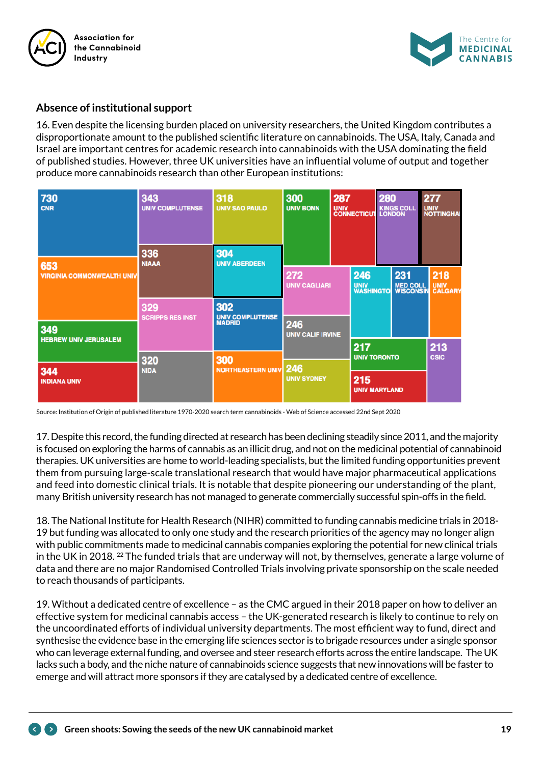



#### **Absence of institutional support**

16. Even despite the licensing burden placed on university researchers, the United Kingdom contributes a disproportionate amount to the published scientific literature on cannabinoids. The USA, Italy, Canada and Israel are important centres for academic research into cannabinoids with the USA dominating the field of published studies. However, three UK universities have an influential volume of output and together produce more cannabinoids research than other European institutions:

| 730<br><b>CNR</b>                        | 343<br><b>UNIV COMPLUTENSE</b>                     | 318<br><b>UNIV SAO PAULO</b>    | 300<br><b>UNIV BONN</b>         | 287<br>UNIV KINGS COLL<br>CONNECTICUT LONDON |                             | 280                              |  | 277<br><b>UNIV<br/>NOTTINGHAI</b> |                                |  |
|------------------------------------------|----------------------------------------------------|---------------------------------|---------------------------------|----------------------------------------------|-----------------------------|----------------------------------|--|-----------------------------------|--------------------------------|--|
|                                          | 336<br>304<br><b>NIAAA</b><br><b>UNIV ABERDEEN</b> |                                 |                                 |                                              |                             |                                  |  |                                   |                                |  |
| 653<br><b>VIRGINIA COMMONWEALTH UNIV</b> |                                                    |                                 |                                 | 272<br><b>UNIV CAGLIARI</b>                  |                             | 246<br><b>UNIV<br/>WASHINGTO</b> |  | <b>MED COLL<br/>WISCONSIN</b>     | 218<br><b>UNIV<br/>CALGARY</b> |  |
|                                          | 329<br><b>SCRIPPS RES INST</b>                     | 302                             |                                 |                                              |                             |                                  |  |                                   |                                |  |
| 349                                      |                                                    | UNIV COMPLUTENSE<br>MADRID      | 246<br><b>UNIV CALIF IRVINE</b> |                                              |                             |                                  |  |                                   |                                |  |
| <b>HEBREW UNIV JERUSALEM</b>             |                                                    |                                 |                                 |                                              | 217<br><b>UNIV TORONTO</b>  |                                  |  |                                   | 213<br><b>CSIC</b>             |  |
| 344                                      | 320<br><b>NIDA</b>                                 | 300<br><b>NORTHEASTERN UNIV</b> | 246                             |                                              |                             |                                  |  |                                   |                                |  |
| <b>INDIANA UNIV</b>                      |                                                    |                                 | <b>UNIV SYDNEY</b>              |                                              | 215<br><b>UNIV MARYLAND</b> |                                  |  |                                   |                                |  |

Source: Institution of Origin of published literature 1970-2020 search term cannabinoids - Web of Science accessed 22nd Sept 2020

17. Despite this record, the funding directed at research has been declining steadily since 2011, and the majority is focused on exploring the harms of cannabis as an illicit drug, and not on the medicinal potential of cannabinoid therapies. UK universities are home to world-leading specialists, but the limited funding opportunities prevent them from pursuing large-scale translational research that would have major pharmaceutical applications and feed into domestic clinical trials. It is notable that despite pioneering our understanding of the plant, many British university research has not managed to generate commercially successful spin-offs in the field.

18. The National Institute for Health Research (NIHR) committed to funding cannabis medicine trials in 2018- 19 but funding was allocated to only one study and the research priorities of the agency may no longer align with public commitments made to medicinal cannabis companies exploring the potential for new clinical trials in the UK in 2018. <sup>22</sup> The funded trials that are underway will not, by themselves, generate a large volume of data and there are no major Randomised Controlled Trials involving private sponsorship on the scale needed to reach thousands of participants.

19. Without a dedicated centre of excellence – as the CMC argued in their 2018 paper on how to deliver an effective system for medicinal cannabis access – the UK-generated research is likely to continue to rely on the uncoordinated efforts of individual university departments. The most efficient way to fund, direct and synthesise the evidence base in the emerging life sciences sector is to brigade resources under a single sponsor who can leverage external funding, and oversee and steer research efforts across the entire landscape. The UK lacks such a body, and the niche nature of cannabinoids science suggests that new innovations will be faster to emerge and will attract more sponsors if they are catalysed by a dedicated centre of excellence.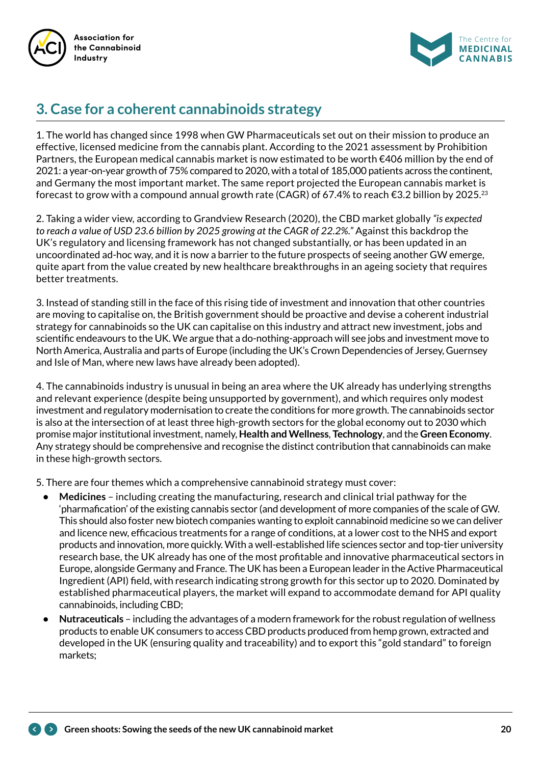



# **3. Case for a coherent cannabinoids strategy**

1. The world has changed since 1998 when GW Pharmaceuticals set out on their mission to produce an effective, licensed medicine from the cannabis plant. According to the 2021 assessment by Prohibition Partners, the European medical cannabis market is now estimated to be worth €406 million by the end of 2021: a year-on-year growth of 75% compared to 2020, with a total of 185,000 patients across the continent, and Germany the most important market. The same report projected the European cannabis market is forecast to grow with a compound annual growth rate (CAGR) of 67.4% to reach €3.2 billion by 2025.<sup>23</sup>

2. Taking a wider view, according to Grandview Research (2020), the CBD market globally *"is expected to reach a value of USD 23.6 billion by 2025 growing at the CAGR of 22.2%."* Against this backdrop the UK's regulatory and licensing framework has not changed substantially, or has been updated in an uncoordinated ad-hoc way, and it is now a barrier to the future prospects of seeing another GW emerge, quite apart from the value created by new healthcare breakthroughs in an ageing society that requires better treatments.

3. Instead of standing still in the face of this rising tide of investment and innovation that other countries are moving to capitalise on, the British government should be proactive and devise a coherent industrial strategy for cannabinoids so the UK can capitalise on this industry and attract new investment, jobs and scientific endeavours to the UK. We argue that a do-nothing-approach will see jobs and investment move to North America, Australia and parts of Europe (including the UK's Crown Dependencies of Jersey, Guernsey and Isle of Man, where new laws have already been adopted).

4. The cannabinoids industry is unusual in being an area where the UK already has underlying strengths and relevant experience (despite being unsupported by government), and which requires only modest investment and regulatory modernisation to create the conditions for more growth. The cannabinoids sector is also at the intersection of at least three high-growth sectors for the global economy out to 2030 which promise major institutional investment, namely, **Health and Wellness**, **Technology**, and the **Green Economy**. Any strategy should be comprehensive and recognise the distinct contribution that cannabinoids can make in these high-growth sectors.

5. There are four themes which a comprehensive cannabinoid strategy must cover:

- **• Medicines** including creating the manufacturing, research and clinical trial pathway for the 'pharmafication' of the existing cannabis sector (and development of more companies of the scale of GW. This should also foster new biotech companies wanting to exploit cannabinoid medicine so we can deliver and licence new, efficacious treatments for a range of conditions, at a lower cost to the NHS and export products and innovation, more quickly. With a well-established life sciences sector and top-tier university research base, the UK already has one of the most profitable and innovative pharmaceutical sectors in Europe, alongside Germany and France. The UK has been a European leader in the Active Pharmaceutical Ingredient (API) field, with research indicating strong growth for this sector up to 2020. Dominated by established pharmaceutical players, the market will expand to accommodate demand for API quality cannabinoids, including CBD;
- **• Nutraceuticals** including the advantages of a modern framework for the robust regulation of wellness products to enable UK consumers to access CBD products produced from hemp grown, extracted and developed in the UK (ensuring quality and traceability) and to export this "gold standard" to foreign markets;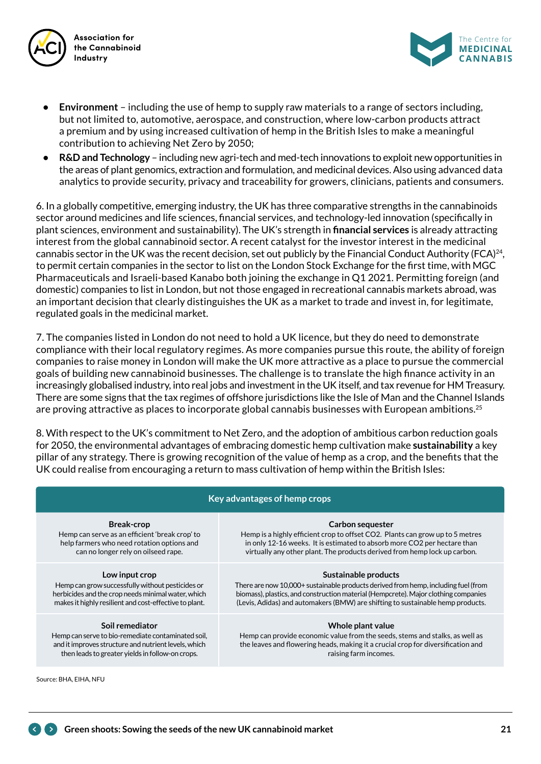



- **• Environment** including the use of hemp to supply raw materials to a range of sectors including, but not limited to, automotive, aerospace, and construction, where low-carbon products attract a premium and by using increased cultivation of hemp in the British Isles to make a meaningful contribution to achieving Net Zero by 2050;
- **• R&D and Technology** including new agri-tech and med-tech innovations to exploit new opportunities in the areas of plant genomics, extraction and formulation, and medicinal devices. Also using advanced data analytics to provide security, privacy and traceability for growers, clinicians, patients and consumers.

6. In a globally competitive, emerging industry, the UK has three comparative strengths in the cannabinoids sector around medicines and life sciences, financial services, and technology-led innovation (specifically in plant sciences, environment and sustainability). The UK's strength in **financial services** is already attracting interest from the global cannabinoid sector. A recent catalyst for the investor interest in the medicinal cannabis sector in the UK was the recent decision, set out publicly by the Financial Conduct Authority (FCA)<sup>24</sup>, to permit certain companies in the sector to list on the London Stock Exchange for the first time, with MGC Pharmaceuticals and Israeli-based Kanabo both joining the exchange in Q1 2021. Permitting foreign (and domestic) companies to list in London, but not those engaged in recreational cannabis markets abroad, was an important decision that clearly distinguishes the UK as a market to trade and invest in, for legitimate, regulated goals in the medicinal market.

7. The companies listed in London do not need to hold a UK licence, but they do need to demonstrate compliance with their local regulatory regimes. As more companies pursue this route, the ability of foreign companies to raise money in London will make the UK more attractive as a place to pursue the commercial goals of building new cannabinoid businesses. The challenge is to translate the high finance activity in an increasingly globalised industry, into real jobs and investment in the UK itself, and tax revenue for HM Treasury. There are some signs that the tax regimes of offshore jurisdictions like the Isle of Man and the Channel Islands are proving attractive as places to incorporate global cannabis businesses with European ambitions.<sup>25</sup>

8. With respect to the UK's commitment to Net Zero, and the adoption of ambitious carbon reduction goals for 2050, the environmental advantages of embracing domestic hemp cultivation make **sustainability** a key pillar of any strategy. There is growing recognition of the value of hemp as a crop, and the benefits that the UK could realise from encouraging a return to mass cultivation of hemp within the British Isles:

| Key advantages of hemp crops                           |                                                                                     |  |  |  |  |
|--------------------------------------------------------|-------------------------------------------------------------------------------------|--|--|--|--|
| <b>Break-crop</b>                                      | Carbon sequester                                                                    |  |  |  |  |
| Hemp can serve as an efficient 'break crop' to         | Hemp is a highly efficient crop to offset CO2. Plants can grow up to 5 metres       |  |  |  |  |
| help farmers who need rotation options and             | in only 12-16 weeks. It is estimated to absorb more CO2 per hectare than            |  |  |  |  |
| can no longer rely on oilseed rape.                    | virtually any other plant. The products derived from hemp lock up carbon.           |  |  |  |  |
| Low input crop                                         | Sustainable products                                                                |  |  |  |  |
| Hemp can grow successfully without pesticides or       | There are now 10,000+ sustainable products derived from hemp, including fuel (from  |  |  |  |  |
| herbicides and the crop needs minimal water, which     | biomass), plastics, and construction material (Hempcrete). Major clothing companies |  |  |  |  |
| makes it highly resilient and cost-effective to plant. | (Levis, Adidas) and automakers (BMW) are shifting to sustainable hemp products.     |  |  |  |  |
| Soil remediator                                        | Whole plant value                                                                   |  |  |  |  |
| Hemp can serve to bio-remediate contaminated soil,     | Hemp can provide economic value from the seeds, stems and stalks, as well as        |  |  |  |  |
| and it improves structure and nutrient levels, which   | the leaves and flowering heads, making it a crucial crop for diversification and    |  |  |  |  |
| then leads to greater yields in follow-on crops.       | raising farm incomes.                                                               |  |  |  |  |
| Source: BHA, EIHA, NFU                                 |                                                                                     |  |  |  |  |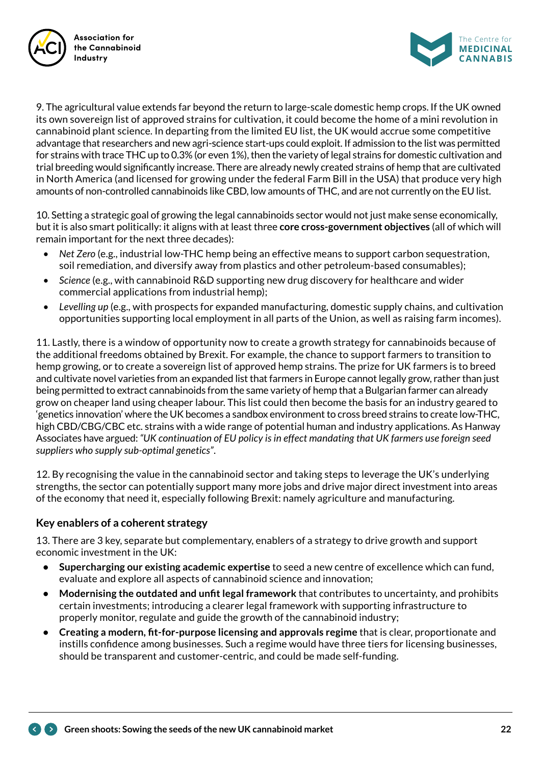



9. The agricultural value extends far beyond the return to large-scale domestic hemp crops. If the UK owned its own sovereign list of approved strains for cultivation, it could become the home of a mini revolution in cannabinoid plant science. In departing from the limited EU list, the UK would accrue some competitive advantage that researchers and new agri-science start-ups could exploit. If admission to the list was permitted for strains with trace THC up to 0.3% (or even 1%), then the variety of legal strains for domestic cultivation and trial breeding would significantly increase. There are already newly created strains of hemp that are cultivated in North America (and licensed for growing under the federal Farm Bill in the USA) that produce very high amounts of non-controlled cannabinoids like CBD, low amounts of THC, and are not currently on the EU list.

10. Setting a strategic goal of growing the legal cannabinoids sector would not just make sense economically, but it is also smart politically: it aligns with at least three **core cross-government objectives** (all of which will remain important for the next three decades):

- *• Net Zero* (e.g., industrial low-THC hemp being an effective means to support carbon sequestration, soil remediation, and diversify away from plastics and other petroleum-based consumables);
- *• Science* (e.g., with cannabinoid R&D supporting new drug discovery for healthcare and wider commercial applications from industrial hemp);
- *• Levelling up* (e.g., with prospects for expanded manufacturing, domestic supply chains, and cultivation opportunities supporting local employment in all parts of the Union, as well as raising farm incomes).

11. Lastly, there is a window of opportunity now to create a growth strategy for cannabinoids because of the additional freedoms obtained by Brexit. For example, the chance to support farmers to transition to hemp growing, or to create a sovereign list of approved hemp strains. The prize for UK farmers is to breed and cultivate novel varieties from an expanded list that farmers in Europe cannot legally grow, rather than just being permitted to extract cannabinoids from the same variety of hemp that a Bulgarian farmer can already grow on cheaper land using cheaper labour. This list could then become the basis for an industry geared to 'genetics innovation' where the UK becomes a sandbox environment to cross breed strains to create low-THC, high CBD/CBG/CBC etc. strains with a wide range of potential human and industry applications. As Hanway Associates have argued: *"UK continuation of EU policy is in effect mandating that UK farmers use foreign seed suppliers who supply sub-optimal genetics"*.

12. By recognising the value in the cannabinoid sector and taking steps to leverage the UK's underlying strengths, the sector can potentially support many more jobs and drive major direct investment into areas of the economy that need it, especially following Brexit: namely agriculture and manufacturing.

### **Key enablers of a coherent strategy**

13. There are 3 key, separate but complementary, enablers of a strategy to drive growth and support economic investment in the UK:

- **• Supercharging our existing academic expertise** to seed a new centre of excellence which can fund, evaluate and explore all aspects of cannabinoid science and innovation;
- **• Modernising the outdated and unfit legal framework** that contributes to uncertainty, and prohibits certain investments; introducing a clearer legal framework with supporting infrastructure to properly monitor, regulate and guide the growth of the cannabinoid industry;
- **• Creating a modern, fit-for-purpose licensing and approvals regime** that is clear, proportionate and instills confidence among businesses. Such a regime would have three tiers for licensing businesses, should be transparent and customer-centric, and could be made self-funding.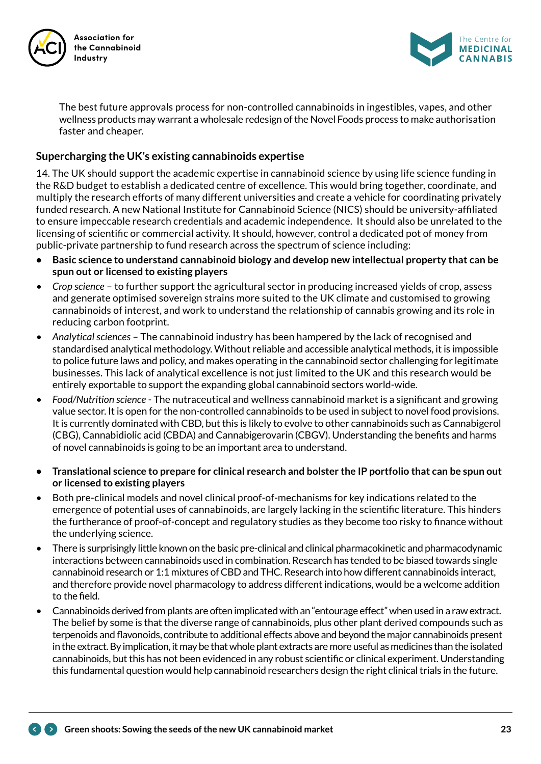



The best future approvals process for non-controlled cannabinoids in ingestibles, vapes, and other wellness products may warrant a wholesale redesign of the Novel Foods process to make authorisation faster and cheaper.

### **Supercharging the UK's existing cannabinoids expertise**

14. The UK should support the academic expertise in cannabinoid science by using life science funding in the R&D budget to establish a dedicated centre of excellence. This would bring together, coordinate, and multiply the research efforts of many different universities and create a vehicle for coordinating privately funded research. A new National Institute for Cannabinoid Science (NICS) should be university-affiliated to ensure impeccable research credentials and academic independence. It should also be unrelated to the licensing of scientific or commercial activity. It should, however, control a dedicated pot of money from public-private partnership to fund research across the spectrum of science including:

- **• Basic science to understand cannabinoid biology and develop new intellectual property that can be spun out or licensed to existing players**
- *• Crop science* to further support the agricultural sector in producing increased yields of crop, assess and generate optimised sovereign strains more suited to the UK climate and customised to growing cannabinoids of interest, and work to understand the relationship of cannabis growing and its role in reducing carbon footprint.
- *• Analytical sciences* The cannabinoid industry has been hampered by the lack of recognised and standardised analytical methodology. Without reliable and accessible analytical methods, it is impossible to police future laws and policy, and makes operating in the cannabinoid sector challenging for legitimate businesses. This lack of analytical excellence is not just limited to the UK and this research would be entirely exportable to support the expanding global cannabinoid sectors world-wide.
- *• Food/Nutrition science* The nutraceutical and wellness cannabinoid market is a significant and growing value sector. It is open for the non-controlled cannabinoids to be used in subject to novel food provisions. It is currently dominated with CBD, but this is likely to evolve to other cannabinoids such as Cannabigerol (CBG), Cannabidiolic acid (CBDA) and Cannabigerovarin (CBGV). Understanding the benefits and harms of novel cannabinoids is going to be an important area to understand.
- **• Translational science to prepare for clinical research and bolster the IP portfolio that can be spun out or licensed to existing players**
- Both pre-clinical models and novel clinical proof-of-mechanisms for key indications related to the emergence of potential uses of cannabinoids, are largely lacking in the scientific literature. This hinders the furtherance of proof-of-concept and regulatory studies as they become too risky to finance without the underlying science.
- There is surprisingly little known on the basic pre-clinical and clinical pharmacokinetic and pharmacodynamic interactions between cannabinoids used in combination. Research has tended to be biased towards single cannabinoid research or 1:1 mixtures of CBD and THC. Research into how different cannabinoids interact, and therefore provide novel pharmacology to address different indications, would be a welcome addition to the field.
- Cannabinoids derived from plants are often implicated with an "entourage effect" when used in a raw extract. The belief by some is that the diverse range of cannabinoids, plus other plant derived compounds such as terpenoids and flavonoids, contribute to additional effects above and beyond the major cannabinoids present in the extract. By implication, it may be that whole plant extracts are more useful as medicines than the isolated cannabinoids, but this has not been evidenced in any robust scientific or clinical experiment. Understanding this fundamental question would help cannabinoid researchers design the right clinical trials in the future.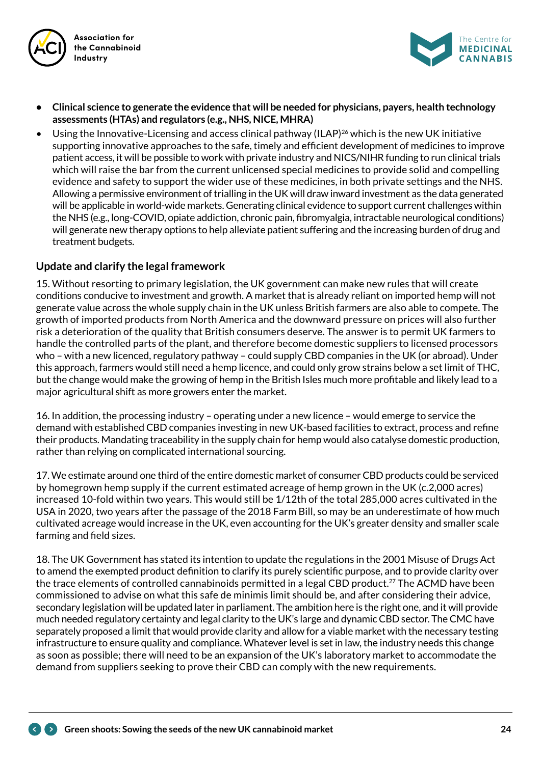



- **• Clinical science to generate the evidence that will be needed for physicians, payers, health technology assessments (HTAs) and regulators (e.g., NHS, NICE, MHRA)**
- Using the Innovative-Licensing and access clinical pathway (ILAP)<sup>26</sup> which is the new UK initiative supporting innovative approaches to the safe, timely and efficient development of medicines to improve patient access, it will be possible to work with private industry and NICS/NIHR funding to run clinical trials which will raise the bar from the current unlicensed special medicines to provide solid and compelling evidence and safety to support the wider use of these medicines, in both private settings and the NHS. Allowing a permissive environment of trialling in the UK will draw inward investment as the data generated will be applicable in world-wide markets. Generating clinical evidence to support current challenges within the NHS (e.g., long-COVID, opiate addiction, chronic pain, fibromyalgia, intractable neurological conditions) will generate new therapy options to help alleviate patient suffering and the increasing burden of drug and treatment budgets.

#### **Update and clarify the legal framework**

15. Without resorting to primary legislation, the UK government can make new rules that will create conditions conducive to investment and growth. A market that is already reliant on imported hemp will not generate value across the whole supply chain in the UK unless British farmers are also able to compete. The growth of imported products from North America and the downward pressure on prices will also further risk a deterioration of the quality that British consumers deserve. The answer is to permit UK farmers to handle the controlled parts of the plant, and therefore become domestic suppliers to licensed processors who – with a new licenced, regulatory pathway – could supply CBD companies in the UK (or abroad). Under this approach, farmers would still need a hemp licence, and could only grow strains below a set limit of THC, but the change would make the growing of hemp in the British Isles much more profitable and likely lead to a major agricultural shift as more growers enter the market.

16. In addition, the processing industry – operating under a new licence – would emerge to service the demand with established CBD companies investing in new UK-based facilities to extract, process and refine their products. Mandating traceability in the supply chain for hemp would also catalyse domestic production, rather than relying on complicated international sourcing.

17. We estimate around one third of the entire domestic market of consumer CBD products could be serviced by homegrown hemp supply if the current estimated acreage of hemp grown in the UK (c.2,000 acres) increased 10-fold within two years. This would still be 1/12th of the total 285,000 acres cultivated in the USA in 2020, two years after the passage of the 2018 Farm Bill, so may be an underestimate of how much cultivated acreage would increase in the UK, even accounting for the UK's greater density and smaller scale farming and field sizes.

18. The UK Government has stated its intention to update the regulations in the 2001 Misuse of Drugs Act to amend the exempted product definition to clarify its purely scientific purpose, and to provide clarity over the trace elements of controlled cannabinoids permitted in a legal CBD product.<sup>27</sup> The ACMD have been commissioned to advise on what this safe de minimis limit should be, and after considering their advice, secondary legislation will be updated later in parliament. The ambition here is the right one, and it will provide much needed regulatory certainty and legal clarity to the UK's large and dynamic CBD sector. The CMC have separately proposed a limit that would provide clarity and allow for a viable market with the necessary testing infrastructure to ensure quality and compliance. Whatever level is set in law, the industry needs this change as soon as possible; there will need to be an expansion of the UK's laboratory market to accommodate the demand from suppliers seeking to prove their CBD can comply with the new requirements.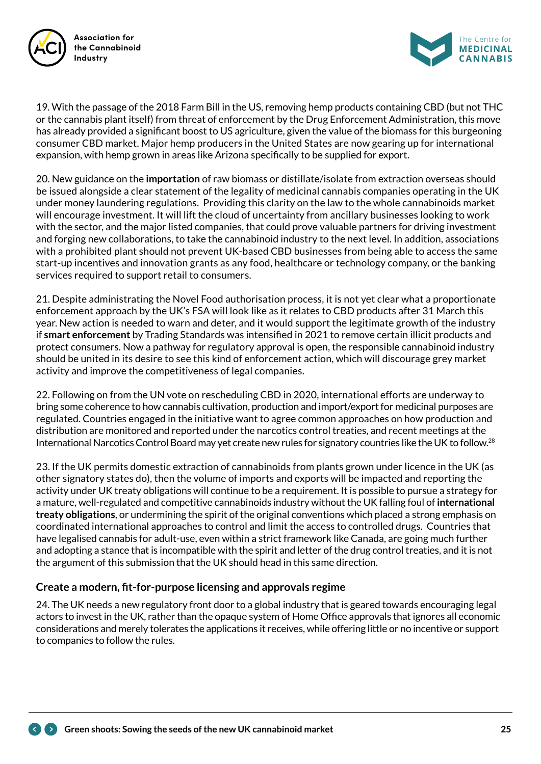



19. With the passage of the 2018 Farm Bill in the US, removing hemp products containing CBD (but not THC or the cannabis plant itself) from threat of enforcement by the Drug Enforcement Administration, this move has already provided a significant boost to US agriculture, given the value of the biomass for this burgeoning consumer CBD market. Major hemp producers in the United States are now gearing up for international expansion, with hemp grown in areas like Arizona specifically to be supplied for export.

20. New guidance on the **importation** of raw biomass or distillate/isolate from extraction overseas should be issued alongside a clear statement of the legality of medicinal cannabis companies operating in the UK under money laundering regulations. Providing this clarity on the law to the whole cannabinoids market will encourage investment. It will lift the cloud of uncertainty from ancillary businesses looking to work with the sector, and the major listed companies, that could prove valuable partners for driving investment and forging new collaborations, to take the cannabinoid industry to the next level. In addition, associations with a prohibited plant should not prevent UK-based CBD businesses from being able to access the same start-up incentives and innovation grants as any food, healthcare or technology company, or the banking services required to support retail to consumers.

21. Despite administrating the Novel Food authorisation process, it is not yet clear what a proportionate enforcement approach by the UK's FSA will look like as it relates to CBD products after 31 March this year. New action is needed to warn and deter, and it would support the legitimate growth of the industry if **smart enforcement** by Trading Standards was intensified in 2021 to remove certain illicit products and protect consumers. Now a pathway for regulatory approval is open, the responsible cannabinoid industry should be united in its desire to see this kind of enforcement action, which will discourage grey market activity and improve the competitiveness of legal companies.

22. Following on from the UN vote on rescheduling CBD in 2020, international efforts are underway to bring some coherence to how cannabis cultivation, production and import/export for medicinal purposes are regulated. Countries engaged in the initiative want to agree common approaches on how production and distribution are monitored and reported under the narcotics control treaties, and recent meetings at the International Narcotics Control Board may yet create new rules for signatory countries like the UK to follow.<sup>28</sup>

23. If the UK permits domestic extraction of cannabinoids from plants grown under licence in the UK (as other signatory states do), then the volume of imports and exports will be impacted and reporting the activity under UK treaty obligations will continue to be a requirement. It is possible to pursue a strategy for a mature, well-regulated and competitive cannabinoids industry without the UK falling foul of **international treaty obligations**, or undermining the spirit of the original conventions which placed a strong emphasis on coordinated international approaches to control and limit the access to controlled drugs. Countries that have legalised cannabis for adult-use, even within a strict framework like Canada, are going much further and adopting a stance that is incompatible with the spirit and letter of the drug control treaties, and it is not the argument of this submission that the UK should head in this same direction.

### **Create a modern, fit-for-purpose licensing and approvals regime**

24. The UK needs a new regulatory front door to a global industry that is geared towards encouraging legal actors to invest in the UK, rather than the opaque system of Home Office approvals that ignores all economic considerations and merely tolerates the applications it receives, while offering little or no incentive or support to companies to follow the rules.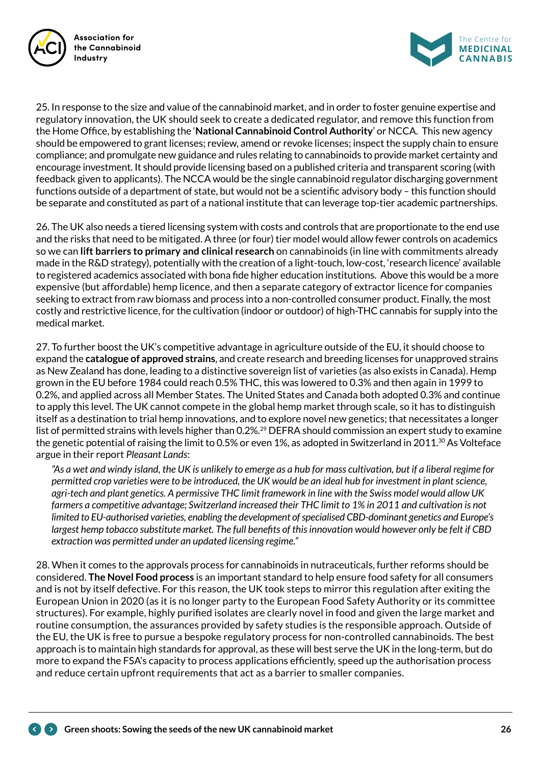



25. In response to the size and value of the cannabinoid market, and in order to foster genuine expertise and regulatory innovation, the UK should seek to create a dedicated regulator, and remove this function from the Home Office, by establishing the '**National Cannabinoid Control Authority**' or NCCA. This new agency should be empowered to grant licenses; review, amend or revoke licenses; inspect the supply chain to ensure compliance; and promulgate new guidance and rules relating to cannabinoids to provide market certainty and encourage investment. It should provide licensing based on a published criteria and transparent scoring (with feedback given to applicants). The NCCA would be the single cannabinoid regulator discharging government functions outside of a department of state, but would not be a scientific advisory body – this function should be separate and constituted as part of a national institute that can leverage top-tier academic partnerships.

26. The UK also needs a tiered licensing system with costs and controls that are proportionate to the end use and the risks that need to be mitigated. A three (or four) tier model would allow fewer controls on academics so we can **lift barriers to primary and clinical research** on cannabinoids (in line with commitments already made in the R&D strategy), potentially with the creation of a light-touch, low-cost, 'research licence' available to registered academics associated with bona fide higher education institutions. Above this would be a more expensive (but affordable) hemp licence, and then a separate category of extractor licence for companies seeking to extract from raw biomass and process into a non-controlled consumer product. Finally, the most costly and restrictive licence, for the cultivation (indoor or outdoor) of high-THC cannabis for supply into the medical market.

27. To further boost the UK's competitive advantage in agriculture outside of the EU, it should choose to expand the **catalogue of approved strains**, and create research and breeding licenses for unapproved strains as New Zealand has done, leading to a distinctive sovereign list of varieties (as also exists in Canada). Hemp grown in the EU before 1984 could reach 0.5% THC, this was lowered to 0.3% and then again in 1999 to 0.2%, and applied across all Member States. The United States and Canada both adopted 0.3% and continue to apply this level. The UK cannot compete in the global hemp market through scale, so it has to distinguish itself as a destination to trial hemp innovations, and to explore novel new genetics; that necessitates a longer list of permitted strains with levels higher than 0.2%.<sup>29</sup> DEFRA should commission an expert study to examine the genetic potential of raising the limit to 0.5% or even 1%, as adopted in Switzerland in 2011. $\alpha$  As Volteface argue in their report *Pleasant Lands*:

*"As a wet and windy island, the UK is unlikely to emerge as a hub for mass cultivation, but if a liberal regime for permitted crop varieties were to be introduced, the UK would be an ideal hub for investment in plant science, agri-tech and plant genetics. A permissive THC limit framework in line with the Swiss model would allow UK farmers a competitive advantage; Switzerland increased their THC limit to 1% in 2011 and cultivation is not limited to EU-authorised varieties, enabling the development of specialised CBD-dominant genetics and Europe's largest hemp tobacco substitute market. The full benefits of this innovation would however only be felt if CBD extraction was permitted under an updated licensing regime."*

28. When it comes to the approvals process for cannabinoids in nutraceuticals, further reforms should be considered. **The Novel Food process** is an important standard to help ensure food safety for all consumers and is not by itself defective. For this reason, the UK took steps to mirror this regulation after exiting the European Union in 2020 (as it is no longer party to the European Food Safety Authority or its committee structures). For example, highly purified isolates are clearly novel in food and given the large market and routine consumption, the assurances provided by safety studies is the responsible approach. Outside of the EU, the UK is free to pursue a bespoke regulatory process for non-controlled cannabinoids. The best approach is to maintain high standards for approval, as these will best serve the UK in the long-term, but do more to expand the FSA's capacity to process applications efficiently, speed up the authorisation process and reduce certain upfront requirements that act as a barrier to smaller companies.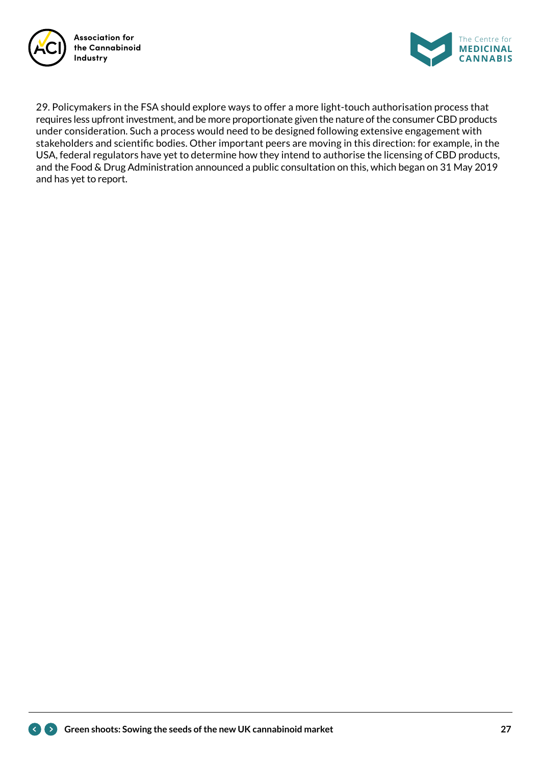



29. Policymakers in the FSA should explore ways to offer a more light-touch authorisation process that requires less upfront investment, and be more proportionate given the nature of the consumer CBD products under consideration. Such a process would need to be designed following extensive engagement with stakeholders and scientific bodies. Other important peers are moving in this direction: for example, in the USA, federal regulators have yet to determine how they intend to authorise the licensing of CBD products, and the Food & Drug Administration announced a public consultation on this, which began on 31 May 2019 and has yet to report.

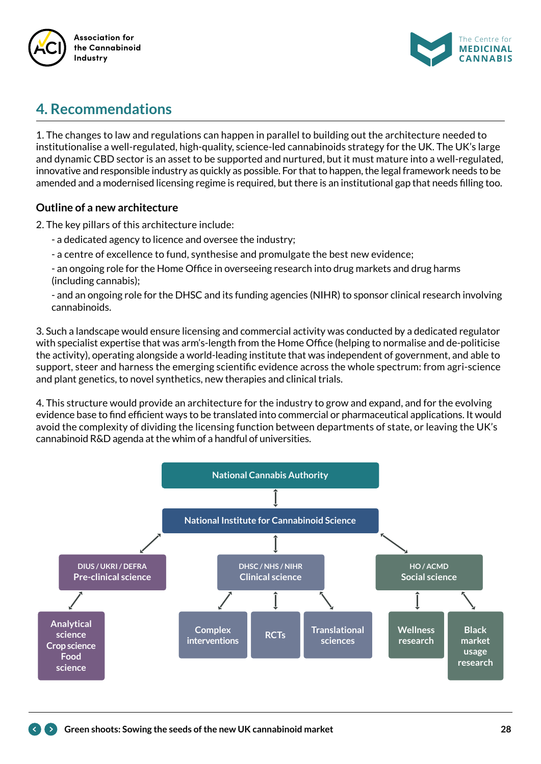



## **4. Recommendations**

1. The changes to law and regulations can happen in parallel to building out the architecture needed to institutionalise a well-regulated, high-quality, science-led cannabinoids strategy for the UK. The UK's large and dynamic CBD sector is an asset to be supported and nurtured, but it must mature into a well-regulated, innovative and responsible industry as quickly as possible. For that to happen, the legal framework needs to be amended and a modernised licensing regime is required, but there is an institutional gap that needs filling too.

### **Outline of a new architecture**

2. The key pillars of this architecture include:

- a dedicated agency to licence and oversee the industry;
- a centre of excellence to fund, synthesise and promulgate the best new evidence;

- an ongoing role for the Home Office in overseeing research into drug markets and drug harms (including cannabis);

- and an ongoing role for the DHSC and its funding agencies (NIHR) to sponsor clinical research involving cannabinoids.

3. Such a landscape would ensure licensing and commercial activity was conducted by a dedicated regulator with specialist expertise that was arm's-length from the Home Office (helping to normalise and de-politicise the activity), operating alongside a world-leading institute that was independent of government, and able to support, steer and harness the emerging scientific evidence across the whole spectrum: from agri-science and plant genetics, to novel synthetics, new therapies and clinical trials.

4. This structure would provide an architecture for the industry to grow and expand, and for the evolving evidence base to find efficient ways to be translated into commercial or pharmaceutical applications. It would avoid the complexity of dividing the licensing function between departments of state, or leaving the UK's cannabinoid R&D agenda at the whim of a handful of universities.

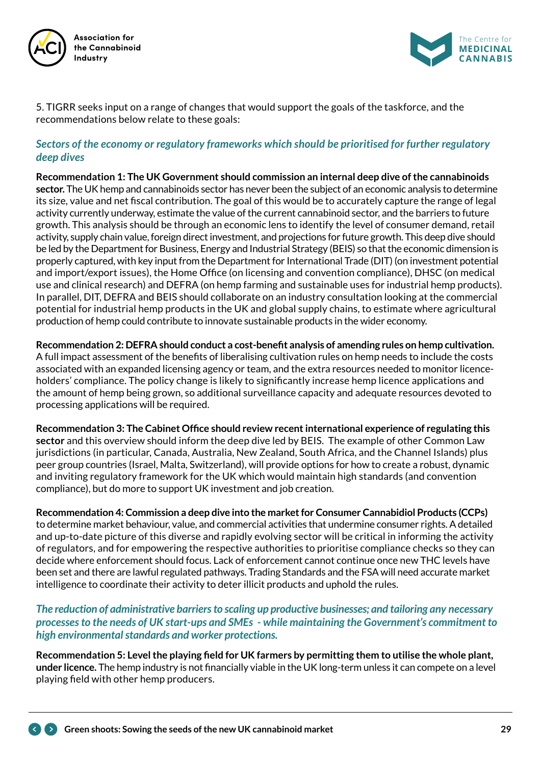



5. TIGRR seeks input on a range of changes that would support the goals of the taskforce, and the recommendations below relate to these goals:

#### *Sectors of the economy or regulatory frameworks which should be prioritised for further regulatory deep dives*

**Recommendation 1: The UK Government should commission an internal deep dive of the cannabinoids sector.** The UK hemp and cannabinoids sector has never been the subject of an economic analysis to determine its size, value and net fiscal contribution. The goal of this would be to accurately capture the range of legal activity currently underway, estimate the value of the current cannabinoid sector, and the barriers to future growth. This analysis should be through an economic lens to identify the level of consumer demand, retail activity, supply chain value, foreign direct investment, and projections for future growth. This deep dive should be led by the Department for Business, Energy and Industrial Strategy (BEIS) so that the economic dimension is properly captured, with key input from the Department for International Trade (DIT) (on investment potential and import/export issues), the Home Office (on licensing and convention compliance), DHSC (on medical use and clinical research) and DEFRA (on hemp farming and sustainable uses for industrial hemp products). In parallel, DIT, DEFRA and BEIS should collaborate on an industry consultation looking at the commercial potential for industrial hemp products in the UK and global supply chains, to estimate where agricultural production of hemp could contribute to innovate sustainable products in the wider economy.

**Recommendation 2: DEFRA should conduct a cost-benefit analysis of amending rules on hemp cultivation.**  A full impact assessment of the benefits of liberalising cultivation rules on hemp needs to include the costs associated with an expanded licensing agency or team, and the extra resources needed to monitor licenceholders' compliance. The policy change is likely to significantly increase hemp licence applications and the amount of hemp being grown, so additional surveillance capacity and adequate resources devoted to processing applications will be required.

**Recommendation 3: The Cabinet Office should review recent international experience of regulating this sector** and this overview should inform the deep dive led by BEIS. The example of other Common Law jurisdictions (in particular, Canada, Australia, New Zealand, South Africa, and the Channel Islands) plus peer group countries (Israel, Malta, Switzerland), will provide options for how to create a robust, dynamic and inviting regulatory framework for the UK which would maintain high standards (and convention compliance), but do more to support UK investment and job creation.

**Recommendation 4: Commission a deep dive into the market for Consumer Cannabidiol Products (CCPs)** to determine market behaviour, value, and commercial activities that undermine consumer rights. A detailed and up-to-date picture of this diverse and rapidly evolving sector will be critical in informing the activity of regulators, and for empowering the respective authorities to prioritise compliance checks so they can decide where enforcement should focus. Lack of enforcement cannot continue once new THC levels have been set and there are lawful regulated pathways. Trading Standards and the FSA will need accurate market intelligence to coordinate their activity to deter illicit products and uphold the rules.

#### *The reduction of administrative barriers to scaling up productive businesses; and tailoring any necessary processes to the needs of UK start-ups and SMEs - while maintaining the Government's commitment to high environmental standards and worker protections.*

**Recommendation 5: Level the playing field for UK farmers by permitting them to utilise the whole plant, under licence.** The hemp industry is not financially viable in the UK long-term unless it can compete on a level playing field with other hemp producers.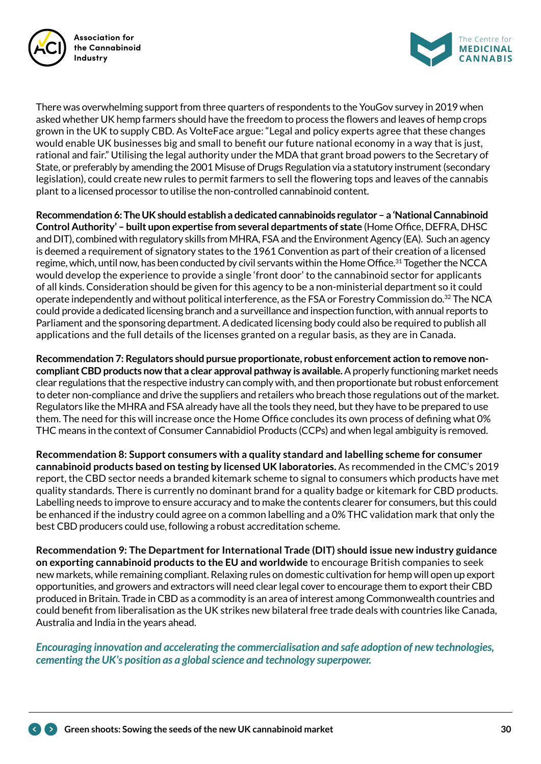



There was overwhelming support from three quarters of respondents to the YouGov survey in 2019 when asked whether UK hemp farmers should have the freedom to process the flowers and leaves of hemp crops grown in the UK to supply CBD. As VolteFace argue: "Legal and policy experts agree that these changes would enable UK businesses big and small to benefit our future national economy in a way that is just, rational and fair." Utilising the legal authority under the MDA that grant broad powers to the Secretary of State, or preferably by amending the 2001 Misuse of Drugs Regulation via a statutory instrument (secondary legislation), could create new rules to permit farmers to sell the flowering tops and leaves of the cannabis plant to a licensed processor to utilise the non-controlled cannabinoid content.

**Recommendation 6: The UK should establish a dedicated cannabinoids regulator – a 'National Cannabinoid Control Authority' – built upon expertise from several departments of state** (Home Office, DEFRA, DHSC and DIT), combined with regulatory skills from MHRA, FSA and the Environment Agency (EA). Such an agency is deemed a requirement of signatory states to the 1961 Convention as part of their creation of a licensed regime, which, until now, has been conducted by civil servants within the Home Office.<sup>31</sup> Together the NCCA would develop the experience to provide a single 'front door' to the cannabinoid sector for applicants of all kinds. Consideration should be given for this agency to be a non-ministerial department so it could operate independently and without political interference, as the FSA or Forestry Commission do.<sup>32</sup> The NCA could provide a dedicated licensing branch and a surveillance and inspection function, with annual reports to Parliament and the sponsoring department. A dedicated licensing body could also be required to publish all applications and the full details of the licenses granted on a regular basis, as they are in Canada.

**Recommendation 7: Regulators should pursue proportionate, robust enforcement action to remove noncompliant CBD products now that a clear approval pathway is available.** A properly functioning market needs clear regulations that the respective industry can comply with, and then proportionate but robust enforcement to deter non-compliance and drive the suppliers and retailers who breach those regulations out of the market. Regulators like the MHRA and FSA already have all the tools they need, but they have to be prepared to use them. The need for this will increase once the Home Office concludes its own process of defining what 0% THC means in the context of Consumer Cannabidiol Products (CCPs) and when legal ambiguity is removed.

**Recommendation 8: Support consumers with a quality standard and labelling scheme for consumer cannabinoid products based on testing by licensed UK laboratories.** As recommended in the CMC's 2019 report, the CBD sector needs a branded kitemark scheme to signal to consumers which products have met quality standards. There is currently no dominant brand for a quality badge or kitemark for CBD products. Labelling needs to improve to ensure accuracy and to make the contents clearer for consumers, but this could be enhanced if the industry could agree on a common labelling and a 0% THC validation mark that only the best CBD producers could use, following a robust accreditation scheme.

**Recommendation 9: The Department for International Trade (DIT) should issue new industry guidance on exporting cannabinoid products to the EU and worldwide** to encourage British companies to seek new markets, while remaining compliant. Relaxing rules on domestic cultivation for hemp will open up export opportunities, and growers and extractors will need clear legal cover to encourage them to export their CBD produced in Britain. Trade in CBD as a commodity is an area of interest among Commonwealth countries and could benefit from liberalisation as the UK strikes new bilateral free trade deals with countries like Canada, Australia and India in the years ahead.

*Encouraging innovation and accelerating the commercialisation and safe adoption of new technologies, cementing the UK's position as a global science and technology superpower.*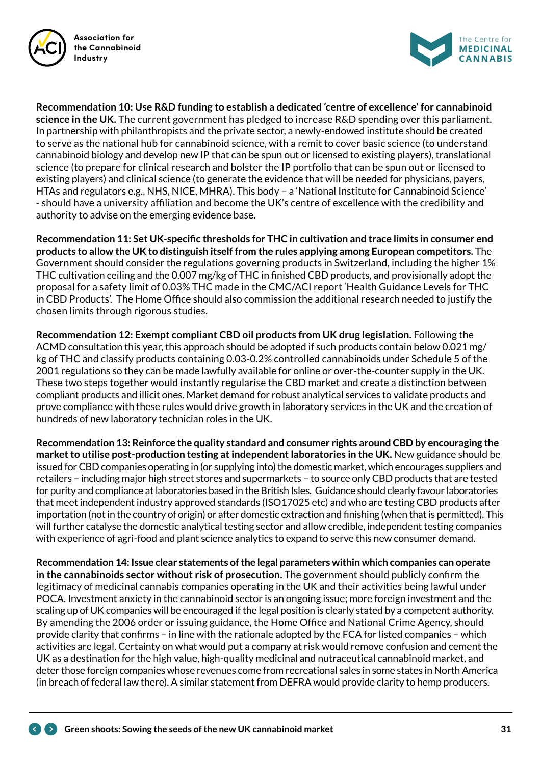



**Recommendation 10: Use R&D funding to establish a dedicated 'centre of excellence' for cannabinoid science in the UK.** The current government has pledged to increase R&D spending over this parliament. In partnership with philanthropists and the private sector, a newly-endowed institute should be created to serve as the national hub for cannabinoid science, with a remit to cover basic science (to understand cannabinoid biology and develop new IP that can be spun out or licensed to existing players), translational science (to prepare for clinical research and bolster the IP portfolio that can be spun out or licensed to existing players) and clinical science (to generate the evidence that will be needed for physicians, payers, HTAs and regulators e.g., NHS, NICE, MHRA). This body – a 'National Institute for Cannabinoid Science' - should have a university affiliation and become the UK's centre of excellence with the credibility and authority to advise on the emerging evidence base.

**Recommendation 11: Set UK-specific thresholds for THC in cultivation and trace limits in consumer end products to allow the UK to distinguish itself from the rules applying among European competitors.** The Government should consider the regulations governing products in Switzerland, including the higher 1% THC cultivation ceiling and the 0.007 mg/kg of THC in finished CBD products, and provisionally adopt the proposal for a safety limit of 0.03% THC made in the CMC/ACI report 'Health Guidance Levels for THC in CBD Products'. The Home Office should also commission the additional research needed to justify the chosen limits through rigorous studies.

**Recommendation 12: Exempt compliant CBD oil products from UK drug legislation.** Following the ACMD consultation this year, this approach should be adopted if such products contain below 0.021 mg/ kg of THC and classify products containing 0.03-0.2% controlled cannabinoids under Schedule 5 of the 2001 regulations so they can be made lawfully available for online or over-the-counter supply in the UK. These two steps together would instantly regularise the CBD market and create a distinction between compliant products and illicit ones. Market demand for robust analytical services to validate products and prove compliance with these rules would drive growth in laboratory services in the UK and the creation of hundreds of new laboratory technician roles in the UK.

**Recommendation 13: Reinforce the quality standard and consumer rights around CBD by encouraging the market to utilise post-production testing at independent laboratories in the UK.** New guidance should be issued for CBD companies operating in (or supplying into) the domestic market, which encourages suppliers and retailers – including major high street stores and supermarkets – to source only CBD products that are tested for purity and compliance at laboratories based in the British Isles. Guidance should clearly favour laboratories that meet independent industry approved standards (ISO17025 etc) and who are testing CBD products after importation (not in the country of origin) or after domestic extraction and finishing (when that is permitted). This will further catalyse the domestic analytical testing sector and allow credible, independent testing companies with experience of agri-food and plant science analytics to expand to serve this new consumer demand.

**Recommendation 14: Issue clear statements of the legal parameters within which companies can operate in the cannabinoids sector without risk of prosecution.** The government should publicly confirm the legitimacy of medicinal cannabis companies operating in the UK and their activities being lawful under POCA. Investment anxiety in the cannabinoid sector is an ongoing issue; more foreign investment and the scaling up of UK companies will be encouraged if the legal position is clearly stated by a competent authority. By amending the 2006 order or issuing guidance, the Home Office and National Crime Agency, should provide clarity that confirms – in line with the rationale adopted by the FCA for listed companies – which activities are legal. Certainty on what would put a company at risk would remove confusion and cement the UK as a destination for the high value, high-quality medicinal and nutraceutical cannabinoid market, and deter those foreign companies whose revenues come from recreational sales in some states in North America (in breach of federal law there). A similar statement from DEFRA would provide clarity to hemp producers.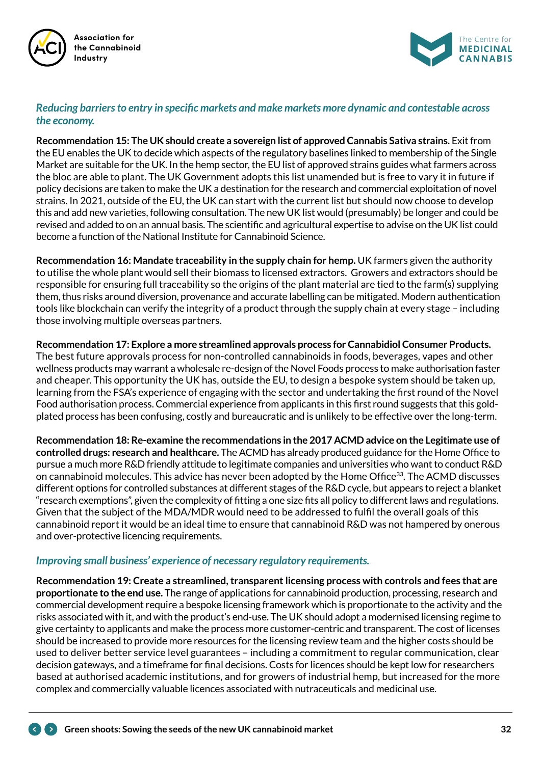



#### *Reducing barriers to entry in specific markets and make markets more dynamic and contestable across the economy.*

**Recommendation 15: The UK should create a sovereign list of approved Cannabis Sativa strains.** Exit from the EU enables the UK to decide which aspects of the regulatory baselines linked to membership of the Single Market are suitable for the UK. In the hemp sector, the EU list of approved strains guides what farmers across the bloc are able to plant. The UK Government adopts this list unamended but is free to vary it in future if policy decisions are taken to make the UK a destination for the research and commercial exploitation of novel strains. In 2021, outside of the EU, the UK can start with the current list but should now choose to develop this and add new varieties, following consultation. The new UK list would (presumably) be longer and could be revised and added to on an annual basis. The scientific and agricultural expertise to advise on the UK list could become a function of the National Institute for Cannabinoid Science.

**Recommendation 16: Mandate traceability in the supply chain for hemp.** UK farmers given the authority to utilise the whole plant would sell their biomass to licensed extractors. Growers and extractors should be responsible for ensuring full traceability so the origins of the plant material are tied to the farm(s) supplying them, thus risks around diversion, provenance and accurate labelling can be mitigated. Modern authentication tools like blockchain can verify the integrity of a product through the supply chain at every stage – including those involving multiple overseas partners.

**Recommendation 17: Explore a more streamlined approvals process for Cannabidiol Consumer Products.** The best future approvals process for non-controlled cannabinoids in foods, beverages, vapes and other wellness products may warrant a wholesale re-design of the Novel Foods process to make authorisation faster and cheaper. This opportunity the UK has, outside the EU, to design a bespoke system should be taken up, learning from the FSA's experience of engaging with the sector and undertaking the first round of the Novel Food authorisation process. Commercial experience from applicants in this first round suggests that this goldplated process has been confusing, costly and bureaucratic and is unlikely to be effective over the long-term.

**Recommendation 18: Re-examine the recommendations in the 2017 ACMD advice on the Legitimate use of controlled drugs: research and healthcare.** The ACMD has already produced guidance for the Home Office to pursue a much more R&D friendly attitude to legitimate companies and universities who want to conduct R&D on cannabinoid molecules. This advice has never been adopted by the Home Office<sup>33</sup>. The ACMD discusses different options for controlled substances at different stages of the R&D cycle, but appears to reject a blanket "research exemptions", given the complexity of fitting a one size fits all policy to different laws and regulations. Given that the subject of the MDA/MDR would need to be addressed to fulfil the overall goals of this cannabinoid report it would be an ideal time to ensure that cannabinoid R&D was not hampered by onerous and over-protective licencing requirements.

### *Improving small business' experience of necessary regulatory requirements.*

**Recommendation 19: Create a streamlined, transparent licensing process with controls and fees that are proportionate to the end use.** The range of applications for cannabinoid production, processing, research and commercial development require a bespoke licensing framework which is proportionate to the activity and the risks associated with it, and with the product's end-use. The UK should adopt a modernised licensing regime to give certainty to applicants and make the process more customer-centric and transparent. The cost of licenses should be increased to provide more resources for the licensing review team and the higher costs should be used to deliver better service level guarantees – including a commitment to regular communication, clear decision gateways, and a timeframe for final decisions. Costs for licences should be kept low for researchers based at authorised academic institutions, and for growers of industrial hemp, but increased for the more complex and commercially valuable licences associated with nutraceuticals and medicinal use.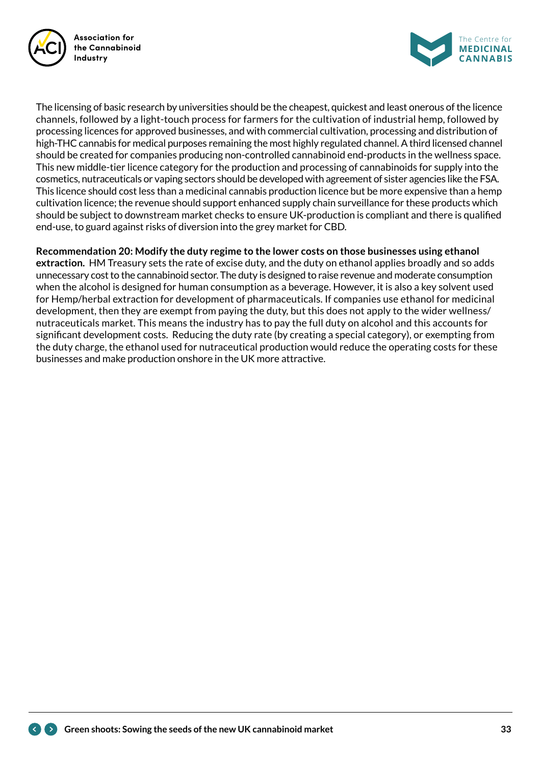



The licensing of basic research by universities should be the cheapest, quickest and least onerous of the licence channels, followed by a light-touch process for farmers for the cultivation of industrial hemp, followed by processing licences for approved businesses, and with commercial cultivation, processing and distribution of high-THC cannabis for medical purposes remaining the most highly regulated channel. A third licensed channel should be created for companies producing non-controlled cannabinoid end-products in the wellness space. This new middle-tier licence category for the production and processing of cannabinoids for supply into the cosmetics, nutraceuticals or vaping sectors should be developed with agreement of sister agencies like the FSA. This licence should cost less than a medicinal cannabis production licence but be more expensive than a hemp cultivation licence; the revenue should support enhanced supply chain surveillance for these products which should be subject to downstream market checks to ensure UK-production is compliant and there is qualified end-use, to guard against risks of diversion into the grey market for CBD.

#### **Recommendation 20: Modify the duty regime to the lower costs on those businesses using ethanol**

**extraction.** HM Treasury sets the rate of excise duty, and the duty on ethanol applies broadly and so adds unnecessary cost to the cannabinoid sector. The duty is designed to raise revenue and moderate consumption when the alcohol is designed for human consumption as a beverage. However, it is also a key solvent used for Hemp/herbal extraction for development of pharmaceuticals. If companies use ethanol for medicinal development, then they are exempt from paying the duty, but this does not apply to the wider wellness/ nutraceuticals market. This means the industry has to pay the full duty on alcohol and this accounts for significant development costs. Reducing the duty rate (by creating a special category), or exempting from the duty charge, the ethanol used for nutraceutical production would reduce the operating costs for these businesses and make production onshore in the UK more attractive.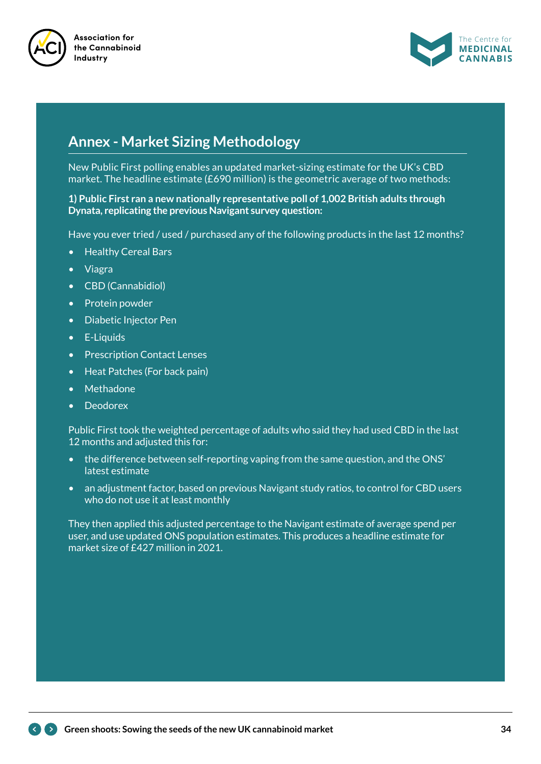



## **Annex - Market Sizing Methodology**

New Public First polling enables an updated market-sizing estimate for the UK's CBD market. The headline estimate (£690 million) is the geometric average of two methods:

**1) Public First ran a new nationally representative poll of 1,002 British adults through Dynata, replicating the previous Navigant survey question:**

Have you ever tried / used / purchased any of the following products in the last 12 months?

- Healthy Cereal Bars
- Viagra
- CBD (Cannabidiol)
- Protein powder
- Diabetic Injector Pen
- E-Liquids
- Prescription Contact Lenses
- Heat Patches (For back pain)
- Methadone
- Deodorex

Public First took the weighted percentage of adults who said they had used CBD in the last 12 months and adjusted this for:

- the difference between self-reporting vaping from the same question, and the ONS' latest estimate
- an adjustment factor, based on previous Navigant study ratios, to control for CBD users who do not use it at least monthly

They then applied this adjusted percentage to the Navigant estimate of average spend per user, and use updated ONS population estimates. This produces a headline estimate for market size of £427 million in 2021.

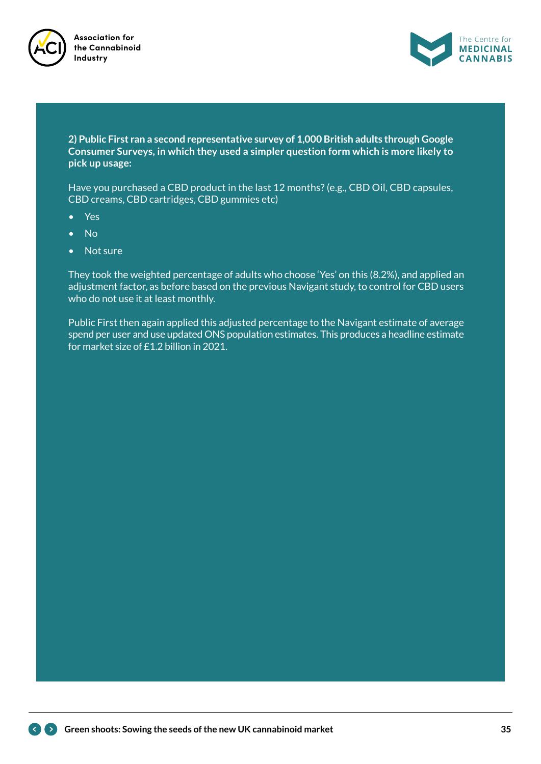



**2) Public First ran a second representative survey of 1,000 British adults through Google Consumer Surveys, in which they used a simpler question form which is more likely to pick up usage:**

Have you purchased a CBD product in the last 12 months? (e.g., CBD Oil, CBD capsules, CBD creams, CBD cartridges, CBD gummies etc)

- Yes
- No
- Not sure

They took the weighted percentage of adults who choose 'Yes' on this (8.2%), and applied an adjustment factor, as before based on the previous Navigant study, to control for CBD users who do not use it at least monthly.

Public First then again applied this adjusted percentage to the Navigant estimate of average spend per user and use updated ONS population estimates. This produces a headline estimate for market size of £1.2 billion in 2021.

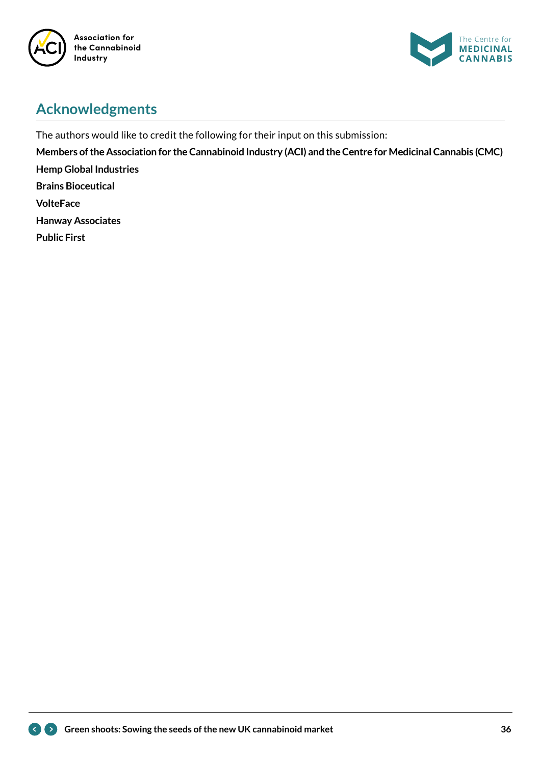



# **Acknowledgments**

The authors would like to credit the following for their input on this submission:

**Members of the Association for the Cannabinoid Industry (ACI) and the Centre for Medicinal Cannabis (CMC) Hemp Global Industries Brains Bioceutical**

**VolteFace**

**Hanway Associates**

**Public First**

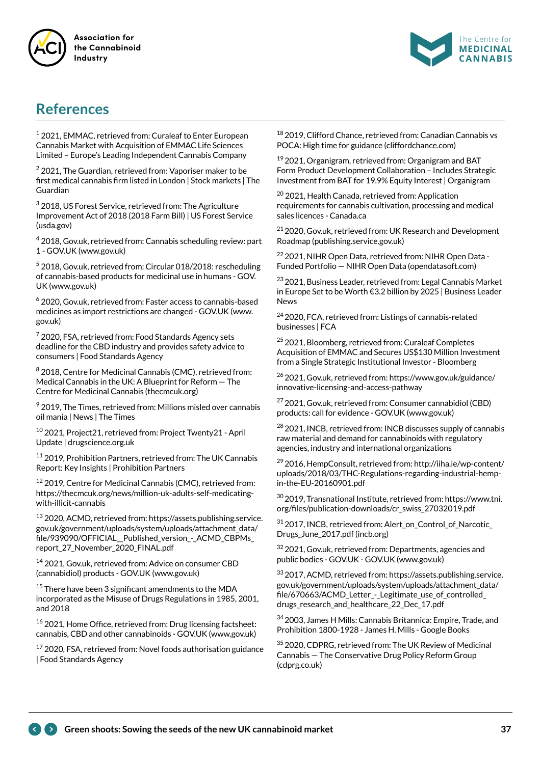



## **References**

1 2021, EMMAC, retrieved from: Curaleaf to Enter European Cannabis Market with Acquisition of EMMAC Life Sciences Limited – Europe's Leading Independent Cannabis Company

 $2$  2021, The Guardian, retrieved from: Vaporiser maker to be first medical cannabis firm listed in London | Stock markets | The Guardian

3 2018, US Forest Service, retrieved from: The Agriculture Improvement Act of 2018 (2018 Farm Bill) | US Forest Service (usda.gov)

4 2018, Gov.uk, retrieved from: Cannabis scheduling review: part 1 - GOV.UK (www.gov.uk)

<sup>5</sup> 2018, Gov.uk, retrieved from: Circular 018/2018: rescheduling of cannabis-based products for medicinal use in humans - GOV. UK (www.gov.uk)

6 2020, Gov.uk, retrieved from: Faster access to cannabis-based medicines as import restrictions are changed - GOV.UK (www. gov.uk)

 $7$  2020, FSA, retrieved from: Food Standards Agency sets deadline for the CBD industry and provides safety advice to consumers | Food Standards Agency

8 2018, Centre for Medicinal Cannabis (CMC), retrieved from: Medical Cannabis in the UK: A Blueprint for Reform — The Centre for Medicinal Cannabis (thecmcuk.org)

 $9$  2019, The Times, retrieved from: Millions misled over cannabis oil mania | News | The Times

10 2021, Project21, retrieved from: Project Twenty21 - April Update | drugscience.org.uk

<sup>11</sup> 2019, Prohibition Partners, retrieved from: The UK Cannabis Report: Key Insights | Prohibition Partners

<sup>12</sup> 2019, Centre for Medicinal Cannabis (CMC), retrieved from: https://thecmcuk.org/news/million-uk-adults-self-medicatingwith-illicit-cannabis

13 2020, ACMD, retrieved from: https://assets.publishing.service. gov.uk/government/uploads/system/uploads/attachment\_data/ file/939090/OFFICIAL\_\_Published\_version\_-\_ACMD\_CBPMs\_ report\_27\_November\_2020\_FINAL.pdf

14 2021, Gov.uk, retrieved from: Advice on consumer CBD (cannabidiol) products - GOV.UK (www.gov.uk)

<sup>15</sup> There have been 3 significant amendments to the MDA incorporated as the Misuse of Drugs Regulations in 1985, 2001, and 2018

16 2021, Home Office, retrieved from: Drug licensing factsheet: cannabis, CBD and other cannabinoids - GOV.UK (www.gov.uk)

 $17$  2020, FSA, retrieved from: Novel foods authorisation guidance | Food Standards Agency

<sup>18</sup> 2019, Clifford Chance, retrieved from: Canadian Cannabis vs POCA: High time for guidance (cliffordchance.com)

19 2021, Organigram, retrieved from: Organigram and BAT Form Product Development Collaboration – Includes Strategic Investment from BAT for 19.9% Equity Interest | Organigram

<sup>20</sup> 2021, Health Canada, retrieved from: Application requirements for cannabis cultivation, processing and medical sales licences - Canada.ca

21 2020, Gov.uk, retrieved from: UK Research and Development Roadmap (publishing.service.gov.uk)

<sup>22</sup> 2021, NIHR Open Data, retrieved from: NIHR Open Data -Funded Portfolio — NIHR Open Data (opendatasoft.com)

<sup>23</sup> 2021, Business Leader, retrieved from: Legal Cannabis Market in Europe Set to be Worth €3.2 billion by 2025 | Business Leader News

<sup>24</sup> 2020, FCA, retrieved from: Listings of cannabis-related businesses | FCA

<sup>25</sup> 2021, Bloomberg, retrieved from: Curaleaf Completes Acquisition of EMMAC and Secures US\$130 Million Investment from a Single Strategic Institutional Investor - Bloomberg

26 2021, Gov.uk, retrieved from: https://www.gov.uk/guidance/ innovative-licensing-and-access-pathway

27 2021, Gov.uk, retrieved from: Consumer cannabidiol (CBD) products: call for evidence - GOV.UK (www.gov.uk)

<sup>28</sup> 2021, INCB, retrieved from: INCB discusses supply of cannabis raw material and demand for cannabinoids with regulatory agencies, industry and international organizations

29 2016, HempConsult, retrieved from: http://iiha.ie/wp-content/ uploads/2018/03/THC-Regulations-regarding-industrial-hempin-the-EU-20160901.pdf

 $30$  2019, Transnational Institute, retrieved from: https://www.tni. org/files/publication-downloads/cr\_swiss\_27032019.pdf

31 2017, INCB, retrieved from: Alert\_on\_Control\_of\_Narcotic\_ Drugs\_June\_2017.pdf (incb.org)

32 2021, Gov.uk, retrieved from: Departments, agencies and public bodies - GOV.UK - GOV.UK (www.gov.uk)

33 2017, ACMD, retrieved from: https://assets.publishing.service. gov.uk/government/uploads/system/uploads/attachment\_data/ file/670663/ACMD\_Letter\_-\_Legitimate\_use\_of\_controlled\_ drugs research and healthcare 22 Dec 17.pdf

34 2003, James H Mills: Cannabis Britannica: Empire, Trade, and Prohibition 1800-1928 - James H. Mills - Google Books

<sup>35</sup> 2020, CDPRG, retrieved from: The UK Review of Medicinal Cannabis — The Conservative Drug Policy Reform Group (cdprg.co.uk)